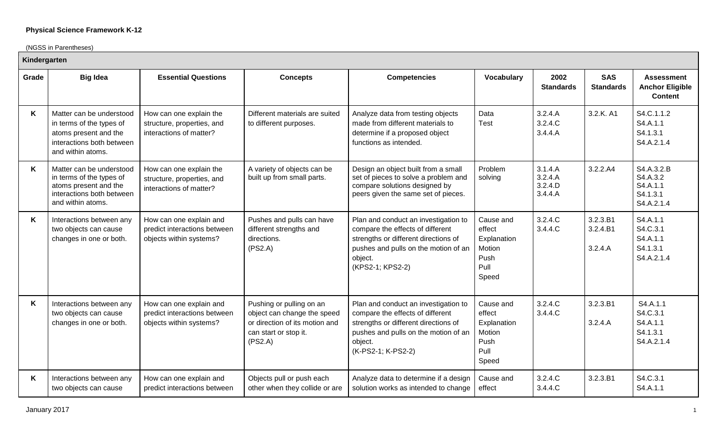(NGSS in Parentheses)

| Kindergarten |                                                                                                                                 |                                                                                    |                                                                                                                               |                                                                                                                                                                                           |                                                                       |                                          |                                 |                                                               |  |
|--------------|---------------------------------------------------------------------------------------------------------------------------------|------------------------------------------------------------------------------------|-------------------------------------------------------------------------------------------------------------------------------|-------------------------------------------------------------------------------------------------------------------------------------------------------------------------------------------|-----------------------------------------------------------------------|------------------------------------------|---------------------------------|---------------------------------------------------------------|--|
| Grade        | <b>Big Idea</b>                                                                                                                 | <b>Essential Questions</b>                                                         | <b>Concepts</b>                                                                                                               | <b>Competencies</b>                                                                                                                                                                       | <b>Vocabulary</b>                                                     | 2002<br><b>Standards</b>                 | <b>SAS</b><br><b>Standards</b>  | <b>Assessment</b><br><b>Anchor Eligible</b><br><b>Content</b> |  |
| K            | Matter can be understood<br>in terms of the types of<br>atoms present and the<br>interactions both between<br>and within atoms. | How can one explain the<br>structure, properties, and<br>interactions of matter?   | Different materials are suited<br>to different purposes.                                                                      | Analyze data from testing objects<br>made from different materials to<br>determine if a proposed object<br>functions as intended.                                                         | Data<br><b>Test</b>                                                   | 3.2.4.A<br>3.2.4.C<br>3.4.4.A            | 3.2.K. A1                       | S4.C.1.1.2<br>S4.A.1.1<br>S4.1.3.1<br>S4.A.2.1.4              |  |
| K            | Matter can be understood<br>in terms of the types of<br>atoms present and the<br>interactions both between<br>and within atoms. | How can one explain the<br>structure, properties, and<br>interactions of matter?   | A variety of objects can be<br>built up from small parts.                                                                     | Design an object built from a small<br>set of pieces to solve a problem and<br>compare solutions designed by<br>peers given the same set of pieces.                                       | Problem<br>solving                                                    | 3.1.4.A<br>3.2.4.A<br>3.2.4.D<br>3.4.4.A | 3.2.2.A4                        | S4.A.3.2.B<br>S4.A.3.2<br>S4.A.1.1<br>S4.1.3.1<br>S4.A.2.1.4  |  |
| K            | Interactions between any<br>two objects can cause<br>changes in one or both.                                                    | How can one explain and<br>predict interactions between<br>objects within systems? | Pushes and pulls can have<br>different strengths and<br>directions.<br>(PS2.A)                                                | Plan and conduct an investigation to<br>compare the effects of different<br>strengths or different directions of<br>pushes and pulls on the motion of an<br>object.<br>(KPS2-1; KPS2-2)   | Cause and<br>effect<br>Explanation<br>Motion<br>Push<br>Pull<br>Speed | 3.2.4.C<br>3.4.4.C                       | 3.2.3.B1<br>3.2.4.B1<br>3.2.4.A | S4.A.1.1<br>S4.C.3.1<br>S4.A.1.1<br>S4.1.3.1<br>S4.A.2.1.4    |  |
| K            | Interactions between any<br>two objects can cause<br>changes in one or both.                                                    | How can one explain and<br>predict interactions between<br>objects within systems? | Pushing or pulling on an<br>object can change the speed<br>or direction of its motion and<br>can start or stop it.<br>(PS2.A) | Plan and conduct an investigation to<br>compare the effects of different<br>strengths or different directions of<br>pushes and pulls on the motion of an<br>object.<br>(K-PS2-1; K-PS2-2) | Cause and<br>effect<br>Explanation<br>Motion<br>Push<br>Pull<br>Speed | 3.2.4.C<br>3.4.4.C                       | 3.2.3.B1<br>3.2.4.A             | S4.A.1.1<br>S4.C.3.1<br>S4.A.1.1<br>S4.1.3.1<br>S4.A.2.1.4    |  |
| Κ            | Interactions between any<br>two objects can cause                                                                               | How can one explain and<br>predict interactions between                            | Objects pull or push each<br>other when they collide or are                                                                   | Analyze data to determine if a design<br>solution works as intended to change                                                                                                             | Cause and<br>effect                                                   | 3.2.4.C<br>3.4.4.C                       | 3.2.3.B1                        | S4.C.3.1<br>S4.A.1.1                                          |  |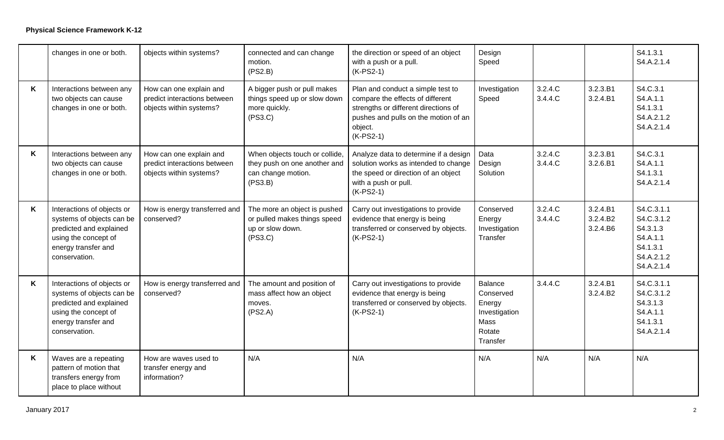|   | changes in one or both.                                                                                                                            | objects within systems?                                                            | connected and can change<br>motion.<br>(PS2.B)                                                  | the direction or speed of an object<br>with a push or a pull.<br>$(K-PS2-1)$                                                                                                    | Design<br>Speed                                                                      |                    |                                  | S4.1.3.1<br>S4.A.2.1.4                                                                   |
|---|----------------------------------------------------------------------------------------------------------------------------------------------------|------------------------------------------------------------------------------------|-------------------------------------------------------------------------------------------------|---------------------------------------------------------------------------------------------------------------------------------------------------------------------------------|--------------------------------------------------------------------------------------|--------------------|----------------------------------|------------------------------------------------------------------------------------------|
| K | Interactions between any<br>two objects can cause<br>changes in one or both.                                                                       | How can one explain and<br>predict interactions between<br>objects within systems? | A bigger push or pull makes<br>things speed up or slow down<br>more quickly.<br>(PS3.C)         | Plan and conduct a simple test to<br>compare the effects of different<br>strengths or different directions of<br>pushes and pulls on the motion of an<br>object.<br>$(K-PS2-1)$ | Investigation<br>Speed                                                               | 3.2.4.C<br>3.4.4.C | 3.2.3.B1<br>3.2.4.B1             | S4.C.3.1<br>S4.A.1.1<br>S4.1.3.1<br>S4.A.2.1.2<br>S4.A.2.1.4                             |
| K | Interactions between any<br>two objects can cause<br>changes in one or both.                                                                       | How can one explain and<br>predict interactions between<br>objects within systems? | When objects touch or collide,<br>they push on one another and<br>can change motion.<br>(PS3.B) | Analyze data to determine if a design<br>solution works as intended to change<br>the speed or direction of an object<br>with a push or pull.<br>$(K-PS2-1)$                     | Data<br>Design<br>Solution                                                           | 3.2.4.C<br>3.4.4.C | 3.2.3.B1<br>3.2.6.B1             | S4.C.3.1<br>S4.A.1.1<br>S4.1.3.1<br>S4.A.2.1.4                                           |
| K | Interactions of objects or<br>systems of objects can be<br>predicted and explained<br>using the concept of<br>energy transfer and<br>conservation. | How is energy transferred and<br>conserved?                                        | The more an object is pushed<br>or pulled makes things speed<br>up or slow down.<br>(PS3.C)     | Carry out investigations to provide<br>evidence that energy is being<br>transferred or conserved by objects.<br>$(K-PS2-1)$                                                     | Conserved<br>Energy<br>Investigation<br>Transfer                                     | 3.2.4.C<br>3.4.4.C | 3.2.4.B1<br>3.2.4.B2<br>3.2.4.B6 | S4.C.3.1.1<br>S4.C.3.1.2<br>S4.3.1.3<br>S4.A.1.1<br>S4.1.3.1<br>S4.A.2.1.2<br>S4.A.2.1.4 |
| K | Interactions of objects or<br>systems of objects can be<br>predicted and explained<br>using the concept of<br>energy transfer and<br>conservation. | How is energy transferred and<br>conserved?                                        | The amount and position of<br>mass affect how an object<br>moves.<br>(PS2.A)                    | Carry out investigations to provide<br>evidence that energy is being<br>transferred or conserved by objects.<br>$(K-PS2-1)$                                                     | <b>Balance</b><br>Conserved<br>Energy<br>Investigation<br>Mass<br>Rotate<br>Transfer | 3.4.4.C            | 3.2.4.B1<br>3.2.4.B2             | S4.C.3.1.1<br>S4.C.3.1.2<br>S4.3.1.3<br>S4.A.1.1<br>S4.1.3.1<br>S4.A.2.1.4               |
| K | Waves are a repeating<br>pattern of motion that<br>transfers energy from<br>place to place without                                                 | How are waves used to<br>transfer energy and<br>information?                       | N/A                                                                                             | N/A                                                                                                                                                                             | N/A                                                                                  | N/A                | N/A                              | N/A                                                                                      |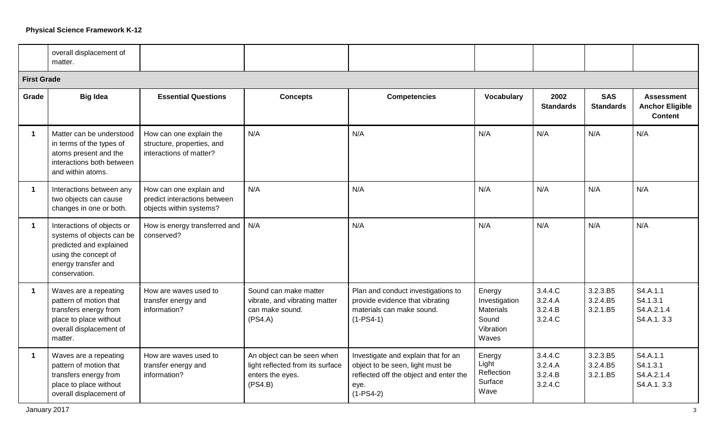|                      | overall displacement of<br>matter.                                                                                                                 |                                                                                    |                                                                                               |                                                                                                                                          |                                                                            |                                          |                                  |                                                               |
|----------------------|----------------------------------------------------------------------------------------------------------------------------------------------------|------------------------------------------------------------------------------------|-----------------------------------------------------------------------------------------------|------------------------------------------------------------------------------------------------------------------------------------------|----------------------------------------------------------------------------|------------------------------------------|----------------------------------|---------------------------------------------------------------|
| <b>First Grade</b>   |                                                                                                                                                    |                                                                                    |                                                                                               |                                                                                                                                          |                                                                            |                                          |                                  |                                                               |
| Grade                | <b>Big Idea</b>                                                                                                                                    | <b>Essential Questions</b>                                                         | <b>Concepts</b>                                                                               | <b>Competencies</b>                                                                                                                      | <b>Vocabulary</b>                                                          | 2002<br><b>Standards</b>                 | <b>SAS</b><br><b>Standards</b>   | <b>Assessment</b><br><b>Anchor Eligible</b><br><b>Content</b> |
| 1                    | Matter can be understood<br>in terms of the types of<br>atoms present and the<br>interactions both between<br>and within atoms.                    | How can one explain the<br>structure, properties, and<br>interactions of matter?   | N/A                                                                                           | N/A                                                                                                                                      | N/A                                                                        | N/A                                      | N/A                              | N/A                                                           |
| $\blacktriangleleft$ | Interactions between any<br>two objects can cause<br>changes in one or both.                                                                       | How can one explain and<br>predict interactions between<br>objects within systems? | N/A                                                                                           | N/A                                                                                                                                      | N/A                                                                        | N/A                                      | N/A                              | N/A                                                           |
| $\mathbf 1$          | Interactions of objects or<br>systems of objects can be<br>predicted and explained<br>using the concept of<br>energy transfer and<br>conservation. | How is energy transferred and<br>conserved?                                        | N/A                                                                                           | N/A                                                                                                                                      | N/A                                                                        | N/A                                      | N/A                              | N/A                                                           |
| $\mathbf{1}$         | Waves are a repeating<br>pattern of motion that<br>transfers energy from<br>place to place without<br>overall displacement of<br>matter.           | How are waves used to<br>transfer energy and<br>information?                       | Sound can make matter<br>vibrate, and vibrating matter<br>can make sound.<br>(PS4.A)          | Plan and conduct investigations to<br>provide evidence that vibrating<br>materials can make sound.<br>$(1-PS4-1)$                        | Energy<br>Investigation<br><b>Materials</b><br>Sound<br>Vibration<br>Waves | 3.4.4.C<br>3.2.4.A<br>3.2.4.B<br>3.2.4.C | 3.2.3.B5<br>3.2.4.B5<br>3.2.1.B5 | S4.A.1.1<br>S4.1.3.1<br>S4.A.2.1.4<br>S4.A.1.3.3              |
| $\mathbf 1$          | Waves are a repeating<br>pattern of motion that<br>transfers energy from<br>place to place without<br>overall displacement of                      | How are waves used to<br>transfer energy and<br>information?                       | An object can be seen when<br>light reflected from its surface<br>enters the eyes.<br>(PS4.B) | Investigate and explain that for an<br>object to be seen, light must be<br>reflected off the object and enter the<br>eye.<br>$(1-PS4-2)$ | Energy<br>Light<br>Reflection<br>Surface<br>Wave                           | 3.4.4.C<br>3.2.4.A<br>3.2.4.B<br>3.2.4.C | 3.2.3.B5<br>3.2.4.B5<br>3.2.1.B5 | S4.A.1.1<br>S4.1.3.1<br>S4.A.2.1.4<br>S4.A.1.3.3              |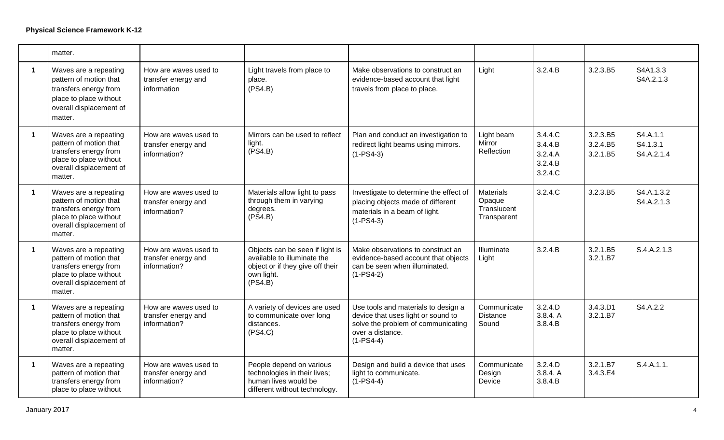|                      | matter.                                                                                                                                  |                                                              |                                                                                                                             |                                                                                                                                                    |                                                          |                                                     |                                  |                                    |
|----------------------|------------------------------------------------------------------------------------------------------------------------------------------|--------------------------------------------------------------|-----------------------------------------------------------------------------------------------------------------------------|----------------------------------------------------------------------------------------------------------------------------------------------------|----------------------------------------------------------|-----------------------------------------------------|----------------------------------|------------------------------------|
| $\mathbf 1$          | Waves are a repeating<br>pattern of motion that<br>transfers energy from<br>place to place without<br>overall displacement of<br>matter. | How are waves used to<br>transfer energy and<br>information  | Light travels from place to<br>place.<br>(PS4.B)                                                                            | Make observations to construct an<br>evidence-based account that light<br>travels from place to place.                                             | Light                                                    | 3.2.4.B                                             | 3.2.3.B5                         | S4A1.3.3<br>S4A.2.1.3              |
| $\blacktriangleleft$ | Waves are a repeating<br>pattern of motion that<br>transfers energy from<br>place to place without<br>overall displacement of<br>matter. | How are waves used to<br>transfer energy and<br>information? | Mirrors can be used to reflect<br>light.<br>(PS4.B)                                                                         | Plan and conduct an investigation to<br>redirect light beams using mirrors.<br>$(1-PS4-3)$                                                         | Light beam<br>Mirror<br>Reflection                       | 3.4.4.C<br>3.4.4.B<br>3.2.4.A<br>3.2.4.B<br>3.2.4.C | 3.2.3.B5<br>3.2.4.B5<br>3.2.1.B5 | S4.A.1.1<br>S4.1.3.1<br>S4.A.2.1.4 |
| $\mathbf 1$          | Waves are a repeating<br>pattern of motion that<br>transfers energy from<br>place to place without<br>overall displacement of<br>matter. | How are waves used to<br>transfer energy and<br>information? | Materials allow light to pass<br>through them in varying<br>degrees.<br>(PS4.B)                                             | Investigate to determine the effect of<br>placing objects made of different<br>materials in a beam of light.<br>$(1-PS4-3)$                        | <b>Materials</b><br>Opaque<br>Translucent<br>Transparent | 3.2.4.C                                             | 3.2.3.B5                         | S4.A.1.3.2<br>S4.A.2.1.3           |
| $\mathbf{1}$         | Waves are a repeating<br>pattern of motion that<br>transfers energy from<br>place to place without<br>overall displacement of<br>matter. | How are waves used to<br>transfer energy and<br>information? | Objects can be seen if light is<br>available to illuminate the<br>object or if they give off their<br>own light.<br>(PS4.B) | Make observations to construct an<br>evidence-based account that objects<br>can be seen when illuminated.<br>$(1-PS4-2)$                           | Illuminate<br>Light                                      | 3.2.4.B                                             | 3.2.1.B5<br>3.2.1.B7             | S.4.A.2.1.3                        |
| $\mathbf{1}$         | Waves are a repeating<br>pattern of motion that<br>transfers energy from<br>place to place without<br>overall displacement of<br>matter. | How are waves used to<br>transfer energy and<br>information? | A variety of devices are used<br>to communicate over long<br>distances.<br>(PS4.C)                                          | Use tools and materials to design a<br>device that uses light or sound to<br>solve the problem of communicating<br>over a distance.<br>$(1-PS4-4)$ | Communicate<br><b>Distance</b><br>Sound                  | 3.2.4.D<br>3.8.4. A<br>3.8.4.B                      | 3.4.3.D1<br>3.2.1.B7             | S4.A.2.2                           |
| $\mathbf{1}$         | Waves are a repeating<br>pattern of motion that<br>transfers energy from<br>place to place without                                       | How are waves used to<br>transfer energy and<br>information? | People depend on various<br>technologies in their lives;<br>human lives would be<br>different without technology.           | Design and build a device that uses<br>light to communicate.<br>$(1-PS4-4)$                                                                        | Communicate<br>Design<br>Device                          | 3.2.4.D<br>3.8.4. A<br>3.8.4.B                      | 3.2.1.B7<br>3.4.3.E4             | S.4.A.1.1.                         |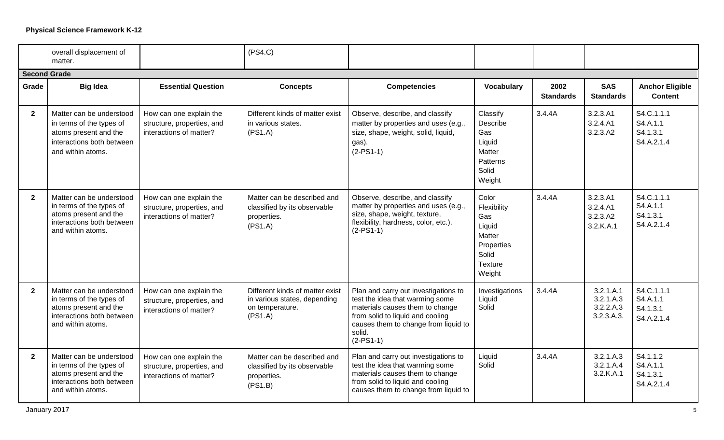|                     | overall displacement of<br>matter.                                                                                              |                                                                                  | (PS4.C)                                                                                       |                                                                                                                                                                                                                 |                                                                                                    |                          |                                                   |                                                  |
|---------------------|---------------------------------------------------------------------------------------------------------------------------------|----------------------------------------------------------------------------------|-----------------------------------------------------------------------------------------------|-----------------------------------------------------------------------------------------------------------------------------------------------------------------------------------------------------------------|----------------------------------------------------------------------------------------------------|--------------------------|---------------------------------------------------|--------------------------------------------------|
| <b>Second Grade</b> |                                                                                                                                 |                                                                                  |                                                                                               |                                                                                                                                                                                                                 |                                                                                                    |                          |                                                   |                                                  |
| Grade               | <b>Big Idea</b>                                                                                                                 | <b>Essential Question</b>                                                        | <b>Concepts</b>                                                                               | <b>Competencies</b>                                                                                                                                                                                             | Vocabulary                                                                                         | 2002<br><b>Standards</b> | <b>SAS</b><br><b>Standards</b>                    | <b>Anchor Eligible</b><br><b>Content</b>         |
| $\mathbf{2}$        | Matter can be understood<br>in terms of the types of<br>atoms present and the<br>interactions both between<br>and within atoms. | How can one explain the<br>structure, properties, and<br>interactions of matter? | Different kinds of matter exist<br>in various states.<br>(PS1.A)                              | Observe, describe, and classify<br>matter by properties and uses (e.g.,<br>size, shape, weight, solid, liquid,<br>gas).<br>$(2-PS1-1)$                                                                          | Classify<br>Describe<br>Gas<br>Liquid<br>Matter<br>Patterns<br>Solid<br>Weight                     | 3.4.4A                   | 3.2.3.A1<br>3.2.4.A1<br>3.2.3.A2                  | S4.C.1.1.1<br>S4.A.1.1<br>S4.1.3.1<br>S4.A.2.1.4 |
| $\overline{2}$      | Matter can be understood<br>in terms of the types of<br>atoms present and the<br>interactions both between<br>and within atoms. | How can one explain the<br>structure, properties, and<br>interactions of matter? | Matter can be described and<br>classified by its observable<br>properties.<br>(PS1.A)         | Observe, describe, and classify<br>matter by properties and uses (e.g.,<br>size, shape, weight, texture,<br>flexibility, hardness, color, etc.).<br>$(2-PS1-1)$                                                 | Color<br>Flexibility<br>Gas<br>Liquid<br><b>Matter</b><br>Properties<br>Solid<br>Texture<br>Weight | 3.4.4A                   | 3.2.3. A1<br>3.2.4. A1<br>3.2.3.A2<br>3.2.K.A.1   | S4.C.1.1.1<br>S4.A.1.1<br>S4.1.3.1<br>S4.A.2.1.4 |
| $\mathbf{2}$        | Matter can be understood<br>in terms of the types of<br>atoms present and the<br>interactions both between<br>and within atoms. | How can one explain the<br>structure, properties, and<br>interactions of matter? | Different kinds of matter exist<br>in various states, depending<br>on temperature.<br>(PS1.A) | Plan and carry out investigations to<br>test the idea that warming some<br>materials causes them to change<br>from solid to liquid and cooling<br>causes them to change from liquid to<br>solid.<br>$(2-PS1-1)$ | Investigations<br>Liquid<br>Solid                                                                  | 3.4.4A                   | 3.2.1.A.1<br>3.2.1.A.3<br>3.2.2.A.3<br>3.2.3.A.3. | S4.C.1.1.1<br>S4.A.1.1<br>S4.1.3.1<br>S4.A.2.1.4 |
| $\mathbf{2}$        | Matter can be understood<br>in terms of the types of<br>atoms present and the<br>interactions both between<br>and within atoms. | How can one explain the<br>structure, properties, and<br>interactions of matter? | Matter can be described and<br>classified by its observable<br>properties.<br>(PS1.B)         | Plan and carry out investigations to<br>test the idea that warming some<br>materials causes them to change<br>from solid to liquid and cooling<br>causes them to change from liquid to                          | Liquid<br>Solid                                                                                    | 3.4.4A                   | 3.2.1.A.3<br>3.2.1.A.4<br>3.2.K.A.1               | S4.1.1.2<br>S4.A.1.1<br>S4.1.3.1<br>S4.A.2.1.4   |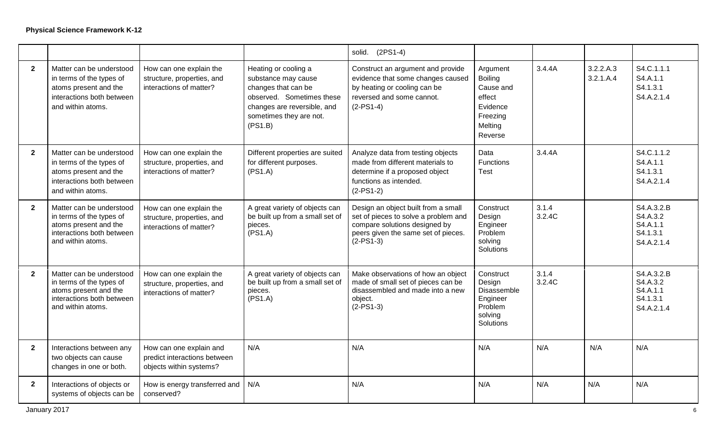|                |                                                                                                                                 |                                                                                    |                                                                                                                                                                      | solid. (2PS1-4)                                                                                                                                                    |                                                                                                 |                 |                        |                                                              |
|----------------|---------------------------------------------------------------------------------------------------------------------------------|------------------------------------------------------------------------------------|----------------------------------------------------------------------------------------------------------------------------------------------------------------------|--------------------------------------------------------------------------------------------------------------------------------------------------------------------|-------------------------------------------------------------------------------------------------|-----------------|------------------------|--------------------------------------------------------------|
| $\mathbf{2}$   | Matter can be understood<br>in terms of the types of<br>atoms present and the<br>interactions both between<br>and within atoms. | How can one explain the<br>structure, properties, and<br>interactions of matter?   | Heating or cooling a<br>substance may cause<br>changes that can be<br>observed. Sometimes these<br>changes are reversible, and<br>sometimes they are not.<br>(PS1.B) | Construct an argument and provide<br>evidence that some changes caused<br>by heating or cooling can be<br>reversed and some cannot.<br>$(2-PS1-4)$                 | Argument<br><b>Boiling</b><br>Cause and<br>effect<br>Evidence<br>Freezing<br>Melting<br>Reverse | 3.4.4A          | 3.2.2.A.3<br>3.2.1.A.4 | S4.C.1.1.1<br>S4.A.1.1<br>S4.1.3.1<br>S4.A.2.1.4             |
| $\overline{2}$ | Matter can be understood<br>in terms of the types of<br>atoms present and the<br>interactions both between<br>and within atoms. | How can one explain the<br>structure, properties, and<br>interactions of matter?   | Different properties are suited<br>for different purposes.<br>(PS1.A)                                                                                                | Analyze data from testing objects<br>made from different materials to<br>determine if a proposed object<br>functions as intended.<br>$(2-PS1-2)$                   | Data<br><b>Functions</b><br>Test                                                                | 3.4.4A          |                        | S4.C.1.1.2<br>S4.A.1.1<br>S4.1.3.1<br>S4.A.2.1.4             |
| $\mathbf{2}$   | Matter can be understood<br>in terms of the types of<br>atoms present and the<br>interactions both between<br>and within atoms. | How can one explain the<br>structure, properties, and<br>interactions of matter?   | A great variety of objects can<br>be built up from a small set of<br>pieces.<br>(PS1.A)                                                                              | Design an object built from a small<br>set of pieces to solve a problem and<br>compare solutions designed by<br>peers given the same set of pieces.<br>$(2-PS1-3)$ | Construct<br>Design<br>Engineer<br>Problem<br>solving<br>Solutions                              | 3.1.4<br>3.2.4C |                        | S4.A.3.2.B<br>S4.A.3.2<br>S4.A.1.1<br>S4.1.3.1<br>S4.A.2.1.4 |
| $\mathbf{2}$   | Matter can be understood<br>in terms of the types of<br>atoms present and the<br>interactions both between<br>and within atoms. | How can one explain the<br>structure, properties, and<br>interactions of matter?   | A great variety of objects can<br>be built up from a small set of<br>pieces.<br>(PS1.A)                                                                              | Make observations of how an object<br>made of small set of pieces can be<br>disassembled and made into a new<br>object.<br>$(2-PS1-3)$                             | Construct<br>Design<br>Disassemble<br>Engineer<br>Problem<br>solving<br>Solutions               | 3.1.4<br>3.2.4C |                        | S4.A.3.2.B<br>S4.A.3.2<br>S4.A.1.1<br>S4.1.3.1<br>S4.A.2.1.4 |
| $\mathbf{2}$   | Interactions between any<br>two objects can cause<br>changes in one or both.                                                    | How can one explain and<br>predict interactions between<br>objects within systems? | N/A                                                                                                                                                                  | N/A                                                                                                                                                                | N/A                                                                                             | N/A             | N/A                    | N/A                                                          |
| $\mathbf{2}$   | Interactions of objects or<br>systems of objects can be                                                                         | How is energy transferred and<br>conserved?                                        | N/A                                                                                                                                                                  | N/A                                                                                                                                                                | N/A                                                                                             | N/A             | N/A                    | N/A                                                          |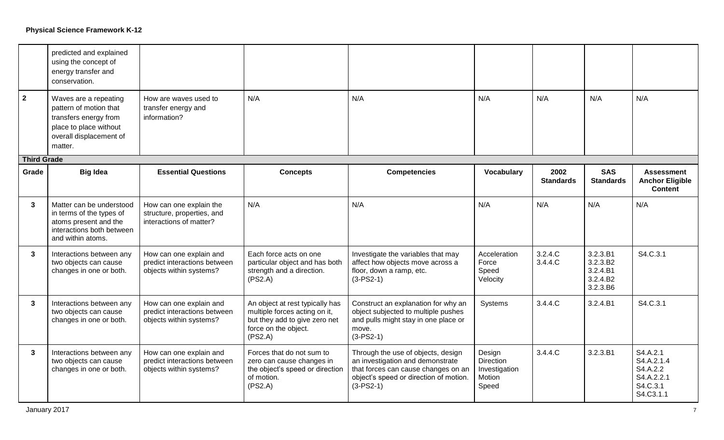| $\mathbf{2}$       | predicted and explained<br>using the concept of<br>energy transfer and<br>conservation.<br>Waves are a repeating<br>pattern of motion that<br>transfers energy from<br>place to place without<br>overall displacement of<br>matter. | How are waves used to<br>transfer energy and<br>information?                       | N/A                                                                                                                                  | N/A                                                                                                                                                                    | N/A                                                     | N/A                      | N/A                                                      | N/A                                                                       |
|--------------------|-------------------------------------------------------------------------------------------------------------------------------------------------------------------------------------------------------------------------------------|------------------------------------------------------------------------------------|--------------------------------------------------------------------------------------------------------------------------------------|------------------------------------------------------------------------------------------------------------------------------------------------------------------------|---------------------------------------------------------|--------------------------|----------------------------------------------------------|---------------------------------------------------------------------------|
| <b>Third Grade</b> |                                                                                                                                                                                                                                     |                                                                                    |                                                                                                                                      |                                                                                                                                                                        |                                                         |                          |                                                          |                                                                           |
| Grade              | <b>Big Idea</b>                                                                                                                                                                                                                     | <b>Essential Questions</b>                                                         | <b>Concepts</b>                                                                                                                      | <b>Competencies</b>                                                                                                                                                    | Vocabulary                                              | 2002<br><b>Standards</b> | <b>SAS</b><br><b>Standards</b>                           | <b>Assessment</b><br><b>Anchor Eligible</b><br><b>Content</b>             |
| 3                  | Matter can be understood<br>in terms of the types of<br>atoms present and the<br>interactions both between<br>and within atoms.                                                                                                     | How can one explain the<br>structure, properties, and<br>interactions of matter?   | N/A                                                                                                                                  | N/A                                                                                                                                                                    | N/A                                                     | N/A                      | N/A                                                      | N/A                                                                       |
| $\mathbf{3}$       | Interactions between any<br>two objects can cause<br>changes in one or both.                                                                                                                                                        | How can one explain and<br>predict interactions between<br>objects within systems? | Each force acts on one<br>particular object and has both<br>strength and a direction.<br>(PS2.A)                                     | Investigate the variables that may<br>affect how objects move across a<br>floor, down a ramp, etc.<br>$(3-PS2-1)$                                                      | Acceleration<br>Force<br>Speed<br>Velocity              | 3.2.4.C<br>3.4.4.C       | 3.2.3.B1<br>3.2.3.B2<br>3.2.4.B1<br>3.2.4.B2<br>3.2.3.B6 | S4.C.3.1                                                                  |
| $\mathbf{3}$       | Interactions between any<br>two objects can cause<br>changes in one or both.                                                                                                                                                        | How can one explain and<br>predict interactions between<br>objects within systems? | An object at rest typically has<br>multiple forces acting on it,<br>but they add to give zero net<br>force on the object.<br>(PS2.A) | Construct an explanation for why an<br>object subjected to multiple pushes<br>and pulls might stay in one place or<br>move.<br>$(3-PS2-1)$                             | Systems                                                 | 3.4.4.C                  | 3.2.4.B1                                                 | S4.C.3.1                                                                  |
| 3                  | Interactions between any<br>two objects can cause<br>changes in one or both.                                                                                                                                                        | How can one explain and<br>predict interactions between<br>objects within systems? | Forces that do not sum to<br>zero can cause changes in<br>the object's speed or direction<br>of motion.<br>(PS2.A)                   | Through the use of objects, design<br>an investigation and demonstrate<br>that forces can cause changes on an<br>object's speed or direction of motion.<br>$(3-PS2-1)$ | Design<br>Direction<br>Investigation<br>Motion<br>Speed | 3.4.4.C                  | 3.2.3.B1                                                 | S4.A.2.1<br>S4.A.2.1.4<br>S4.A.2.2<br>S4.A.2.2.1<br>S4.C.3.1<br>S4.C3.1.1 |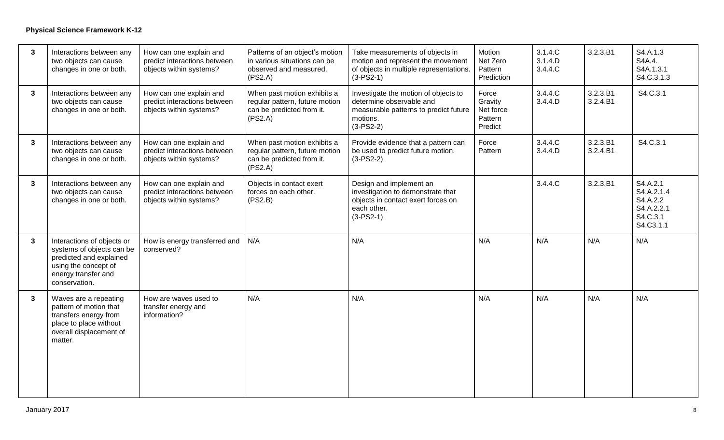| $\mathbf{3}$ | Interactions between any<br>two objects can cause<br>changes in one or both.                                                                       | How can one explain and<br>predict interactions between<br>objects within systems? | Patterns of an object's motion<br>in various situations can be<br>observed and measured.<br>(PS2.A)   | Take measurements of objects in<br>motion and represent the movement<br>of objects in multiple representations.<br>$(3-PS2-1)$       | Motion<br>Net Zero<br>Pattern<br>Prediction         | 3.1.4.C<br>3.1.4.D<br>3.4.4.C | 3.2.3.B1             | S4.A.1.3<br>S4A.4.<br>S4A.1.3.1<br>S4.C.3.1.3                             |
|--------------|----------------------------------------------------------------------------------------------------------------------------------------------------|------------------------------------------------------------------------------------|-------------------------------------------------------------------------------------------------------|--------------------------------------------------------------------------------------------------------------------------------------|-----------------------------------------------------|-------------------------------|----------------------|---------------------------------------------------------------------------|
| $\mathbf{3}$ | Interactions between any<br>two objects can cause<br>changes in one or both.                                                                       | How can one explain and<br>predict interactions between<br>objects within systems? | When past motion exhibits a<br>regular pattern, future motion<br>can be predicted from it.<br>(PS2.A) | Investigate the motion of objects to<br>determine observable and<br>measurable patterns to predict future<br>motions.<br>$(3-PS2-2)$ | Force<br>Gravity<br>Net force<br>Pattern<br>Predict | 3.4.4.C<br>3.4.4.D            | 3.2.3.B1<br>3.2.4.B1 | S4.C.3.1                                                                  |
| $\mathbf{3}$ | Interactions between any<br>two objects can cause<br>changes in one or both.                                                                       | How can one explain and<br>predict interactions between<br>objects within systems? | When past motion exhibits a<br>regular pattern, future motion<br>can be predicted from it.<br>(PS2.A) | Provide evidence that a pattern can<br>be used to predict future motion.<br>$(3-PS2-2)$                                              | Force<br>Pattern                                    | 3.4.4.C<br>3.4.4.D            | 3.2.3.B1<br>3.2.4.B1 | S4.C.3.1                                                                  |
| $\mathbf{3}$ | Interactions between any<br>two objects can cause<br>changes in one or both.                                                                       | How can one explain and<br>predict interactions between<br>objects within systems? | Objects in contact exert<br>forces on each other.<br>(PS2.B)                                          | Design and implement an<br>investigation to demonstrate that<br>objects in contact exert forces on<br>each other.<br>$(3-PS2-1)$     |                                                     | 3.4.4.C                       | 3.2.3.B1             | S4.A.2.1<br>S4.A.2.1.4<br>S4.A.2.2<br>S4.A.2.2.1<br>S4.C.3.1<br>S4.C3.1.1 |
| $\mathbf{3}$ | Interactions of objects or<br>systems of objects can be<br>predicted and explained<br>using the concept of<br>energy transfer and<br>conservation. | How is energy transferred and<br>conserved?                                        | N/A                                                                                                   | N/A                                                                                                                                  | N/A                                                 | N/A                           | N/A                  | N/A                                                                       |
| $\mathbf{3}$ | Waves are a repeating<br>pattern of motion that<br>transfers energy from<br>place to place without<br>overall displacement of<br>matter.           | How are waves used to<br>transfer energy and<br>information?                       | N/A                                                                                                   | N/A                                                                                                                                  | N/A                                                 | N/A                           | N/A                  | N/A                                                                       |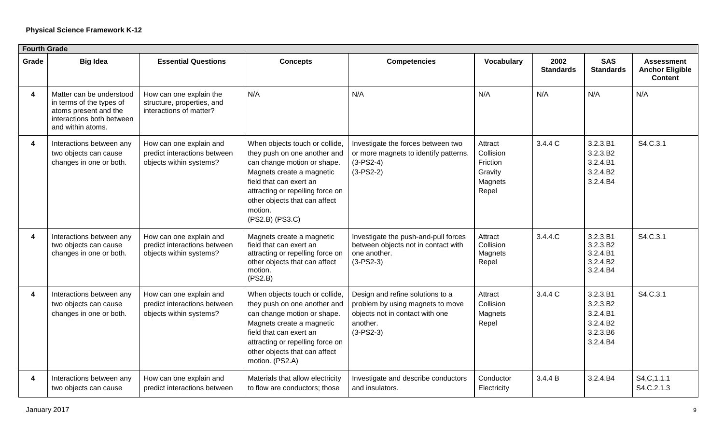|                         | <b>Fourth Grade</b>                                                                                                             |                                                                                    |                                                                                                                                                                                                                                                          |                                                                                                                                    |                                                                 |                          |                                                                      |                                                               |  |  |  |
|-------------------------|---------------------------------------------------------------------------------------------------------------------------------|------------------------------------------------------------------------------------|----------------------------------------------------------------------------------------------------------------------------------------------------------------------------------------------------------------------------------------------------------|------------------------------------------------------------------------------------------------------------------------------------|-----------------------------------------------------------------|--------------------------|----------------------------------------------------------------------|---------------------------------------------------------------|--|--|--|
| Grade                   | <b>Big Idea</b>                                                                                                                 | <b>Essential Questions</b>                                                         | <b>Concepts</b>                                                                                                                                                                                                                                          | <b>Competencies</b>                                                                                                                | Vocabulary                                                      | 2002<br><b>Standards</b> | <b>SAS</b><br><b>Standards</b>                                       | <b>Assessment</b><br><b>Anchor Eligible</b><br><b>Content</b> |  |  |  |
| $\boldsymbol{4}$        | Matter can be understood<br>in terms of the types of<br>atoms present and the<br>interactions both between<br>and within atoms. | How can one explain the<br>structure, properties, and<br>interactions of matter?   | N/A                                                                                                                                                                                                                                                      | N/A                                                                                                                                | N/A                                                             | N/A                      | N/A                                                                  | N/A                                                           |  |  |  |
| 4                       | Interactions between any<br>two objects can cause<br>changes in one or both.                                                    | How can one explain and<br>predict interactions between<br>objects within systems? | When objects touch or collide,<br>they push on one another and<br>can change motion or shape.<br>Magnets create a magnetic<br>field that can exert an<br>attracting or repelling force on<br>other objects that can affect<br>motion.<br>(PS2.B) (PS3.C) | Investigate the forces between two<br>or more magnets to identify patterns.<br>$(3-PS2-4)$<br>$(3-PS2-2)$                          | Attract<br>Collision<br>Friction<br>Gravity<br>Magnets<br>Repel | 3.4.4 C                  | 3.2.3.B1<br>3.2.3.B2<br>3.2.4.B1<br>3.2.4.B2<br>3.2.4.B4             | S4.C.3.1                                                      |  |  |  |
| 4                       | Interactions between any<br>two objects can cause<br>changes in one or both.                                                    | How can one explain and<br>predict interactions between<br>objects within systems? | Magnets create a magnetic<br>field that can exert an<br>attracting or repelling force on<br>other objects that can affect<br>motion.<br>(PS2.B)                                                                                                          | Investigate the push-and-pull forces<br>between objects not in contact with<br>one another.<br>$(3-PS2-3)$                         | Attract<br>Collision<br>Magnets<br>Repel                        | 3.4.4.C                  | 3.2.3.B1<br>3.2.3.B2<br>3.2.4.B1<br>3.2.4.B2<br>3.2.4.B4             | S4.C.3.1                                                      |  |  |  |
| $\overline{\mathbf{4}}$ | Interactions between any<br>two objects can cause<br>changes in one or both.                                                    | How can one explain and<br>predict interactions between<br>objects within systems? | When objects touch or collide,<br>they push on one another and<br>can change motion or shape.<br>Magnets create a magnetic<br>field that can exert an<br>attracting or repelling force on<br>other objects that can affect<br>motion. (PS2.A)            | Design and refine solutions to a<br>problem by using magnets to move<br>objects not in contact with one<br>another.<br>$(3-PS2-3)$ | Attract<br>Collision<br>Magnets<br>Repel                        | 3.4.4 C                  | 3.2.3.B1<br>3.2.3.B2<br>3.2.4.B1<br>3.2.4.B2<br>3.2.3.B6<br>3.2.4.B4 | S4.C.3.1                                                      |  |  |  |
| $\overline{\mathbf{4}}$ | Interactions between any<br>two objects can cause                                                                               | How can one explain and<br>predict interactions between                            | Materials that allow electricity<br>to flow are conductors; those                                                                                                                                                                                        | Investigate and describe conductors<br>and insulators.                                                                             | Conductor<br>Electricity                                        | 3.4.4 B                  | 3.2.4.B4                                                             | S4, C, 1.1.1<br>S4.C.2.1.3                                    |  |  |  |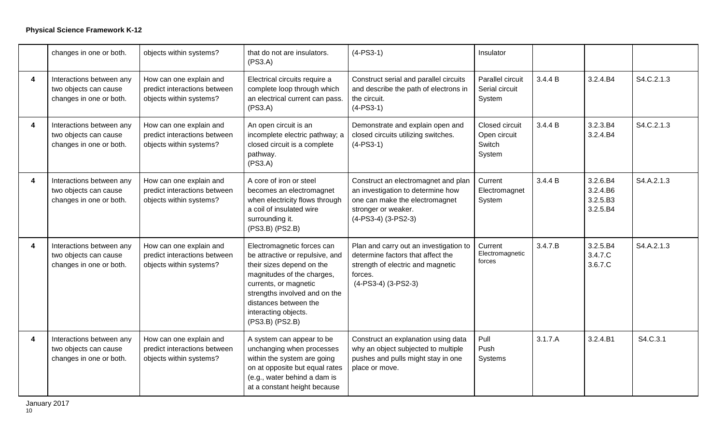|   | changes in one or both.                                                      | objects within systems?                                                            | that do not are insulators.<br>(PS3.A)                                                                                                                                                                                                                 | $(4-PS3-1)$                                                                                                                                                  | Insulator                                          |         |                                              |            |
|---|------------------------------------------------------------------------------|------------------------------------------------------------------------------------|--------------------------------------------------------------------------------------------------------------------------------------------------------------------------------------------------------------------------------------------------------|--------------------------------------------------------------------------------------------------------------------------------------------------------------|----------------------------------------------------|---------|----------------------------------------------|------------|
| 4 | Interactions between any<br>two objects can cause<br>changes in one or both. | How can one explain and<br>predict interactions between<br>objects within systems? | Electrical circuits require a<br>complete loop through which<br>an electrical current can pass.<br>(PS3.A)                                                                                                                                             | Construct serial and parallel circuits<br>and describe the path of electrons in<br>the circuit.<br>$(4-PS3-1)$                                               | Parallel circuit<br>Serial circuit<br>System       | 3.4.4 B | 3.2.4.B4                                     | S4.C.2.1.3 |
| 4 | Interactions between any<br>two objects can cause<br>changes in one or both. | How can one explain and<br>predict interactions between<br>objects within systems? | An open circuit is an<br>incomplete electric pathway; a<br>closed circuit is a complete<br>pathway.<br>(PS3.A)                                                                                                                                         | Demonstrate and explain open and<br>closed circuits utilizing switches.<br>$(4-PS3-1)$                                                                       | Closed circuit<br>Open circuit<br>Switch<br>System | 3.4.4 B | 3.2.3.B4<br>3.2.4.B4                         | S4.C.2.1.3 |
| 4 | Interactions between any<br>two objects can cause<br>changes in one or both. | How can one explain and<br>predict interactions between<br>objects within systems? | A core of iron or steel<br>becomes an electromagnet<br>when electricity flows through<br>a coil of insulated wire<br>surrounding it.<br>(PS3.B) (PS2.B)                                                                                                | Construct an electromagnet and plan<br>an investigation to determine how<br>one can make the electromagnet<br>stronger or weaker.<br>$(4-PS3-4)$ $(3-PS2-3)$ | Current<br>Electromagnet<br>System                 | 3.4.4 B | 3.2.6.B4<br>3.2.4.B6<br>3.2.5.B3<br>3.2.5.B4 | S4.A.2.1.3 |
| 4 | Interactions between any<br>two objects can cause<br>changes in one or both. | How can one explain and<br>predict interactions between<br>objects within systems? | Electromagnetic forces can<br>be attractive or repulsive, and<br>their sizes depend on the<br>magnitudes of the charges,<br>currents, or magnetic<br>strengths involved and on the<br>distances between the<br>interacting objects.<br>(PS3.B) (PS2.B) | Plan and carry out an investigation to<br>determine factors that affect the<br>strength of electric and magnetic<br>forces.<br>(4-PS3-4) (3-PS2-3)           | Current<br>Electromagnetic<br>forces               | 3.4.7.B | 3.2.5.B4<br>3.4.7.C<br>3.6.7.C               | S4.A.2.1.3 |
| 4 | Interactions between any<br>two objects can cause<br>changes in one or both. | How can one explain and<br>predict interactions between<br>objects within systems? | A system can appear to be<br>unchanging when processes<br>within the system are going<br>on at opposite but equal rates<br>(e.g., water behind a dam is<br>at a constant height because                                                                | Construct an explanation using data<br>why an object subjected to multiple<br>pushes and pulls might stay in one<br>place or move.                           | Pull<br>Push<br>Systems                            | 3.1.7.A | 3.2.4.B1                                     | S4.C.3.1   |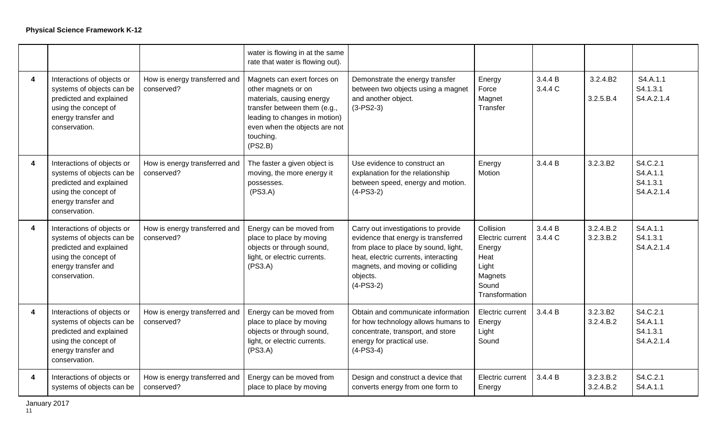|                         |                                                                                                                                                    |                                             | water is flowing in at the same<br>rate that water is flowing out).                                                                                                                                       |                                                                                                                                                                                                                           |                                                                                                |                    |                        |                                                |
|-------------------------|----------------------------------------------------------------------------------------------------------------------------------------------------|---------------------------------------------|-----------------------------------------------------------------------------------------------------------------------------------------------------------------------------------------------------------|---------------------------------------------------------------------------------------------------------------------------------------------------------------------------------------------------------------------------|------------------------------------------------------------------------------------------------|--------------------|------------------------|------------------------------------------------|
| $\overline{\mathbf{4}}$ | Interactions of objects or<br>systems of objects can be<br>predicted and explained<br>using the concept of<br>energy transfer and<br>conservation. | How is energy transferred and<br>conserved? | Magnets can exert forces on<br>other magnets or on<br>materials, causing energy<br>transfer between them (e.g.,<br>leading to changes in motion)<br>even when the objects are not<br>touching.<br>(PS2.B) | Demonstrate the energy transfer<br>between two objects using a magnet<br>and another object.<br>$(3-PS2-3)$                                                                                                               | Energy<br>Force<br>Magnet<br>Transfer                                                          | 3.4.4 B<br>3.4.4 C | 3.2.4.B2<br>3.2.5.B.4  | S4.A.1.1<br>S4.1.3.1<br>S4.A.2.1.4             |
| 4                       | Interactions of objects or<br>systems of objects can be<br>predicted and explained<br>using the concept of<br>energy transfer and<br>conservation. | How is energy transferred and<br>conserved? | The faster a given object is<br>moving, the more energy it<br>possesses.<br>(PS3.A)                                                                                                                       | Use evidence to construct an<br>explanation for the relationship<br>between speed, energy and motion.<br>$(4-PS3-2)$                                                                                                      | Energy<br>Motion                                                                               | 3.4.4 B            | 3.2.3.B2               | S4.C.2.1<br>S4.A.1.1<br>S4.1.3.1<br>S4.A.2.1.4 |
| 4                       | Interactions of objects or<br>systems of objects can be<br>predicted and explained<br>using the concept of<br>energy transfer and<br>conservation. | How is energy transferred and<br>conserved? | Energy can be moved from<br>place to place by moving<br>objects or through sound,<br>light, or electric currents.<br>(PS3.A)                                                                              | Carry out investigations to provide<br>evidence that energy is transferred<br>from place to place by sound, light,<br>heat, electric currents, interacting<br>magnets, and moving or colliding<br>objects.<br>$(4-PS3-2)$ | Collision<br>Electric current<br>Energy<br>Heat<br>Light<br>Magnets<br>Sound<br>Transformation | 3.4.4 B<br>3.4.4 C | 3.2.4.B.2<br>3.2.3.B.2 | S4.A.1.1<br>S4.1.3.1<br>S4.A.2.1.4             |
| 4                       | Interactions of objects or<br>systems of objects can be<br>predicted and explained<br>using the concept of<br>energy transfer and<br>conservation. | How is energy transferred and<br>conserved? | Energy can be moved from<br>place to place by moving<br>objects or through sound,<br>light, or electric currents.<br>(PS3.A)                                                                              | Obtain and communicate information<br>for how technology allows humans to<br>concentrate, transport, and store<br>energy for practical use.<br>$(4-PS3-4)$                                                                | Electric current<br>Energy<br>Light<br>Sound                                                   | 3.4.4 B            | 3.2.3.B2<br>3.2.4.B.2  | S4.C.2.1<br>S4.A.1.1<br>S4.1.3.1<br>S4.A.2.1.4 |
| 4                       | Interactions of objects or<br>systems of objects can be                                                                                            | How is energy transferred and<br>conserved? | Energy can be moved from<br>place to place by moving                                                                                                                                                      | Design and construct a device that<br>converts energy from one form to                                                                                                                                                    | Electric current<br>Energy                                                                     | 3.4.4 B            | 3.2.3.B.2<br>3.2.4.B.2 | S4.C.2.1<br>S4.A.1.1                           |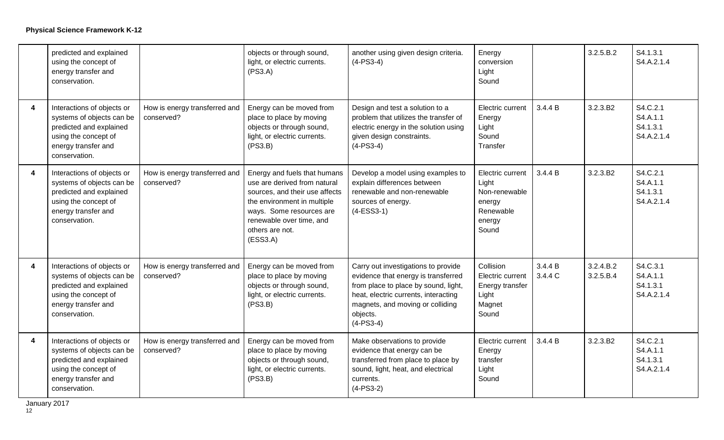|                         | predicted and explained<br>using the concept of<br>energy transfer and<br>conservation.                                                            |                                             | objects or through sound,<br>light, or electric currents.<br>(PS3.A)                                                                                                                                                 | another using given design criteria.<br>$(4-PS3-4)$                                                                                                                                                                       | Energy<br>conversion<br>Light<br>Sound                                               |                    | 3.2.5.B.2              | S4.1.3.1<br>S4.A.2.1.4                         |
|-------------------------|----------------------------------------------------------------------------------------------------------------------------------------------------|---------------------------------------------|----------------------------------------------------------------------------------------------------------------------------------------------------------------------------------------------------------------------|---------------------------------------------------------------------------------------------------------------------------------------------------------------------------------------------------------------------------|--------------------------------------------------------------------------------------|--------------------|------------------------|------------------------------------------------|
| $\overline{\mathbf{4}}$ | Interactions of objects or<br>systems of objects can be<br>predicted and explained<br>using the concept of<br>energy transfer and<br>conservation. | How is energy transferred and<br>conserved? | Energy can be moved from<br>place to place by moving<br>objects or through sound,<br>light, or electric currents.<br>(PS3.B)                                                                                         | Design and test a solution to a<br>problem that utilizes the transfer of<br>electric energy in the solution using<br>given design constraints.<br>$(4-PS3-4)$                                                             | Electric current<br>Energy<br>Light<br>Sound<br>Transfer                             | 3.4.4 B            | 3.2.3.B2               | S4.C.2.1<br>S4.A.1.1<br>S4.1.3.1<br>S4.A.2.1.4 |
| $\overline{\mathbf{4}}$ | Interactions of objects or<br>systems of objects can be<br>predicted and explained<br>using the concept of<br>energy transfer and<br>conservation. | How is energy transferred and<br>conserved? | Energy and fuels that humans<br>use are derived from natural<br>sources, and their use affects<br>the environment in multiple<br>ways. Some resources are<br>renewable over time, and<br>others are not.<br>(ESS3.A) | Develop a model using examples to<br>explain differences between<br>renewable and non-renewable<br>sources of energy.<br>$(4-ESS3-1)$                                                                                     | Electric current<br>Light<br>Non-renewable<br>energy<br>Renewable<br>energy<br>Sound | 3.4.4 B            | 3.2.3.B2               | S4.C.2.1<br>S4.A.1.1<br>S4.1.3.1<br>S4.A.2.1.4 |
| $\overline{\mathbf{4}}$ | Interactions of objects or<br>systems of objects can be<br>predicted and explained<br>using the concept of<br>energy transfer and<br>conservation. | How is energy transferred and<br>conserved? | Energy can be moved from<br>place to place by moving<br>objects or through sound,<br>light, or electric currents.<br>(PS3.B)                                                                                         | Carry out investigations to provide<br>evidence that energy is transferred<br>from place to place by sound, light,<br>heat, electric currents, interacting<br>magnets, and moving or colliding<br>objects.<br>$(4-PS3-4)$ | Collision<br>Electric current<br>Energy transfer<br>Light<br>Magnet<br>Sound         | 3.4.4 B<br>3.4.4 C | 3.2.4.B.2<br>3.2.5.B.4 | S4.C.3.1<br>S4.A.1.1<br>S4.1.3.1<br>S4.A.2.1.4 |
| $\overline{\mathbf{4}}$ | Interactions of objects or<br>systems of objects can be<br>predicted and explained<br>using the concept of<br>energy transfer and<br>conservation. | How is energy transferred and<br>conserved? | Energy can be moved from<br>place to place by moving<br>objects or through sound,<br>light, or electric currents.<br>(PS3.B)                                                                                         | Make observations to provide<br>evidence that energy can be<br>transferred from place to place by<br>sound, light, heat, and electrical<br>currents.<br>$(4-PS3-2)$                                                       | Electric current<br>Energy<br>transfer<br>Light<br>Sound                             | 3.4.4 B            | 3.2.3.B2               | S4.C.2.1<br>S4.A.1.1<br>S4.1.3.1<br>S4.A.2.1.4 |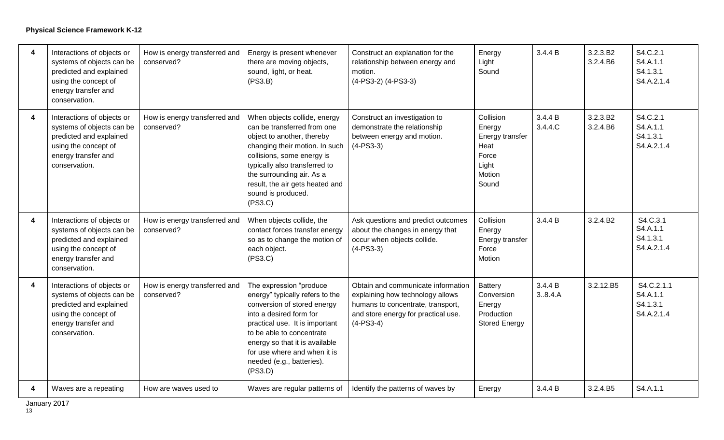| 4 | Interactions of objects or<br>systems of objects can be<br>predicted and explained<br>using the concept of<br>energy transfer and<br>conservation. | How is energy transferred and<br>conserved? | Energy is present whenever<br>there are moving objects,<br>sound, light, or heat.<br>(PS3.B)                                                                                                                                                                                                  | Construct an explanation for the<br>relationship between energy and<br>motion.<br>(4-PS3-2) (4-PS3-3)                                                             | Energy<br>Light<br>Sound                                                            | 3.4.4 B            | 3.2.3.B2<br>3.2.4.B6 | S4.C.2.1<br>S4.A.1.1<br>S4.1.3.1<br>S4.A.2.1.4   |
|---|----------------------------------------------------------------------------------------------------------------------------------------------------|---------------------------------------------|-----------------------------------------------------------------------------------------------------------------------------------------------------------------------------------------------------------------------------------------------------------------------------------------------|-------------------------------------------------------------------------------------------------------------------------------------------------------------------|-------------------------------------------------------------------------------------|--------------------|----------------------|--------------------------------------------------|
| 4 | Interactions of objects or<br>systems of objects can be<br>predicted and explained<br>using the concept of<br>energy transfer and<br>conservation. | How is energy transferred and<br>conserved? | When objects collide, energy<br>can be transferred from one<br>object to another, thereby<br>changing their motion. In such<br>collisions, some energy is<br>typically also transferred to<br>the surrounding air. As a<br>result, the air gets heated and<br>sound is produced.<br>(PS3.C)   | Construct an investigation to<br>demonstrate the relationship<br>between energy and motion.<br>$(4-PS3-3)$                                                        | Collision<br>Energy<br>Energy transfer<br>Heat<br>Force<br>Light<br>Motion<br>Sound | 3.4.4 B<br>3.4.4.C | 3.2.3.B2<br>3.2.4.B6 | S4.C.2.1<br>S4.A.1.1<br>S4.1.3.1<br>S4.A.2.1.4   |
| 4 | Interactions of objects or<br>systems of objects can be<br>predicted and explained<br>using the concept of<br>energy transfer and<br>conservation. | How is energy transferred and<br>conserved? | When objects collide, the<br>contact forces transfer energy<br>so as to change the motion of<br>each object.<br>(PS3.C)                                                                                                                                                                       | Ask questions and predict outcomes<br>about the changes in energy that<br>occur when objects collide.<br>$(4-PS3-3)$                                              | Collision<br>Energy<br>Energy transfer<br>Force<br>Motion                           | 3.4.4 B            | 3.2.4.B2             | S4.C.3.1<br>S4.A.1.1<br>S4.1.3.1<br>S4.A.2.1.4   |
| 4 | Interactions of objects or<br>systems of objects can be<br>predicted and explained<br>using the concept of<br>energy transfer and<br>conservation. | How is energy transferred and<br>conserved? | The expression "produce<br>energy" typically refers to the<br>conversion of stored energy<br>into a desired form for<br>practical use. It is important<br>to be able to concentrate<br>energy so that it is available<br>for use where and when it is<br>needed (e.g., batteries).<br>(PS3.D) | Obtain and communicate information<br>explaining how technology allows<br>humans to concentrate, transport,<br>and store energy for practical use.<br>$(4-PS3-4)$ | Battery<br>Conversion<br>Energy<br>Production<br><b>Stored Energy</b>               | 3.4.4 B<br>3.8.4.A | 3.2.12.B5            | S4.C.2.1.1<br>S4.A.1.1<br>S4.1.3.1<br>S4.A.2.1.4 |
| 4 | Waves are a repeating                                                                                                                              | How are waves used to                       | Waves are regular patterns of                                                                                                                                                                                                                                                                 | Identify the patterns of waves by                                                                                                                                 | Energy                                                                              | 3.4.4 B            | 3.2.4.B5             | S4.A.1.1                                         |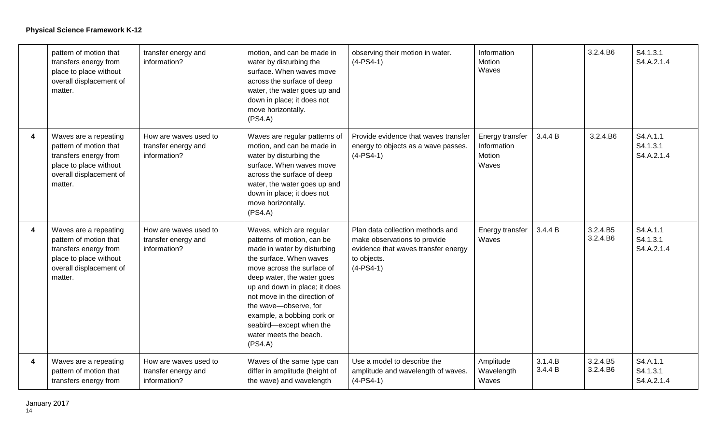|                         | pattern of motion that<br>transfers energy from<br>place to place without<br>overall displacement of<br>matter.                          | transfer energy and<br>information?                          | motion, and can be made in<br>water by disturbing the<br>surface. When waves move<br>across the surface of deep<br>water, the water goes up and<br>down in place; it does not<br>move horizontally.<br>(PS4.A)                                                                                                                                                       | observing their motion in water.<br>$(4-PS4-1)$                                                                                       | Information<br>Motion<br>Waves                    |                    | 3.2.4.B6             | S4.1.3.1<br>S4.A.2.1.4             |
|-------------------------|------------------------------------------------------------------------------------------------------------------------------------------|--------------------------------------------------------------|----------------------------------------------------------------------------------------------------------------------------------------------------------------------------------------------------------------------------------------------------------------------------------------------------------------------------------------------------------------------|---------------------------------------------------------------------------------------------------------------------------------------|---------------------------------------------------|--------------------|----------------------|------------------------------------|
| 4                       | Waves are a repeating<br>pattern of motion that<br>transfers energy from<br>place to place without<br>overall displacement of<br>matter. | How are waves used to<br>transfer energy and<br>information? | Waves are regular patterns of<br>motion, and can be made in<br>water by disturbing the<br>surface. When waves move<br>across the surface of deep<br>water, the water goes up and<br>down in place; it does not<br>move horizontally.<br>(PS4.A)                                                                                                                      | Provide evidence that waves transfer<br>energy to objects as a wave passes.<br>$(4-PS4-1)$                                            | Energy transfer<br>Information<br>Motion<br>Waves | 3.4.4 B            | 3.2.4.B6             | S4.A.1.1<br>S4.1.3.1<br>S4.A.2.1.4 |
| $\overline{\mathbf{4}}$ | Waves are a repeating<br>pattern of motion that<br>transfers energy from<br>place to place without<br>overall displacement of<br>matter. | How are waves used to<br>transfer energy and<br>information? | Waves, which are regular<br>patterns of motion, can be<br>made in water by disturbing<br>the surface. When waves<br>move across the surface of<br>deep water, the water goes<br>up and down in place; it does<br>not move in the direction of<br>the wave-observe, for<br>example, a bobbing cork or<br>seabird-except when the<br>water meets the beach.<br>(PS4.A) | Plan data collection methods and<br>make observations to provide<br>evidence that waves transfer energy<br>to objects.<br>$(4-PS4-1)$ | Energy transfer<br>Waves                          | 3.4.4 B            | 3.2.4.B5<br>3.2.4.B6 | S4.A.1.1<br>S4.1.3.1<br>S4.A.2.1.4 |
| 4                       | Waves are a repeating<br>pattern of motion that<br>transfers energy from                                                                 | How are waves used to<br>transfer energy and<br>information? | Waves of the same type can<br>differ in amplitude (height of<br>the wave) and wavelength                                                                                                                                                                                                                                                                             | Use a model to describe the<br>amplitude and wavelength of waves.<br>$(4-PS4-1)$                                                      | Amplitude<br>Wavelength<br>Waves                  | 3.1.4.B<br>3.4.4 B | 3.2.4.B5<br>3.2.4.B6 | S4.A.1.1<br>S4.1.3.1<br>S4.A.2.1.4 |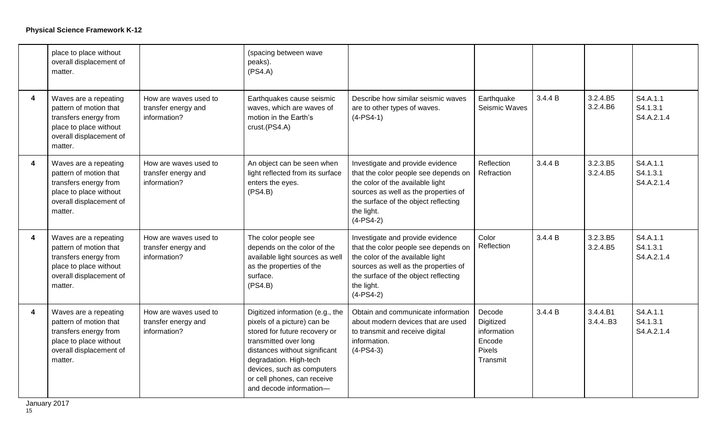|                         | place to place without<br>overall displacement of<br>matter.                                                                             |                                                              | (spacing between wave<br>peaks).<br>(PS4.A)                                                                                                                                                                                                                                  |                                                                                                                                                                                                                           |                                                                    |         |                       |                                    |
|-------------------------|------------------------------------------------------------------------------------------------------------------------------------------|--------------------------------------------------------------|------------------------------------------------------------------------------------------------------------------------------------------------------------------------------------------------------------------------------------------------------------------------------|---------------------------------------------------------------------------------------------------------------------------------------------------------------------------------------------------------------------------|--------------------------------------------------------------------|---------|-----------------------|------------------------------------|
| $\overline{\mathbf{4}}$ | Waves are a repeating<br>pattern of motion that<br>transfers energy from<br>place to place without<br>overall displacement of<br>matter. | How are waves used to<br>transfer energy and<br>information? | Earthquakes cause seismic<br>waves, which are waves of<br>motion in the Earth's<br>crust.(PS4.A)                                                                                                                                                                             | Describe how similar seismic waves<br>are to other types of waves.<br>$(4-PS4-1)$                                                                                                                                         | Earthquake<br>Seismic Waves                                        | 3.4.4 B | 3.2.4.B5<br>3.2.4.B6  | S4.A.1.1<br>S4.1.3.1<br>S4.A.2.1.4 |
| 4                       | Waves are a repeating<br>pattern of motion that<br>transfers energy from<br>place to place without<br>overall displacement of<br>matter. | How are waves used to<br>transfer energy and<br>information? | An object can be seen when<br>light reflected from its surface<br>enters the eyes.<br>(PS4.B)                                                                                                                                                                                | Investigate and provide evidence<br>that the color people see depends on<br>the color of the available light<br>sources as well as the properties of<br>the surface of the object reflecting<br>the light.<br>$(4-PS4-2)$ | Reflection<br>Refraction                                           | 3.4.4 B | 3.2.3.B5<br>3.2.4.B5  | S4.A.1.1<br>S4.1.3.1<br>S4.A.2.1.4 |
| $\boldsymbol{4}$        | Waves are a repeating<br>pattern of motion that<br>transfers energy from<br>place to place without<br>overall displacement of<br>matter. | How are waves used to<br>transfer energy and<br>information? | The color people see<br>depends on the color of the<br>available light sources as well<br>as the properties of the<br>surface.<br>(PS4.B)                                                                                                                                    | Investigate and provide evidence<br>that the color people see depends on<br>the color of the available light<br>sources as well as the properties of<br>the surface of the object reflecting<br>the light.<br>$(4-PS4-2)$ | Color<br>Reflection                                                | 3.4.4 B | 3.2.3.B5<br>3.2.4.B5  | S4.A.1.1<br>S4.1.3.1<br>S4.A.2.1.4 |
| $\overline{\mathbf{4}}$ | Waves are a repeating<br>pattern of motion that<br>transfers energy from<br>place to place without<br>overall displacement of<br>matter. | How are waves used to<br>transfer energy and<br>information? | Digitized information (e.g., the<br>pixels of a picture) can be<br>stored for future recovery or<br>transmitted over long<br>distances without significant<br>degradation. High-tech<br>devices, such as computers<br>or cell phones, can receive<br>and decode information- | Obtain and communicate information<br>about modern devices that are used<br>to transmit and receive digital<br>information.<br>$(4-PS4-3)$                                                                                | Decode<br>Digitized<br>information<br>Encode<br>Pixels<br>Transmit | 3.4.4 B | 3.4.4.B1<br>3.4.4. B3 | S4.A.1.1<br>S4.1.3.1<br>S4.A.2.1.4 |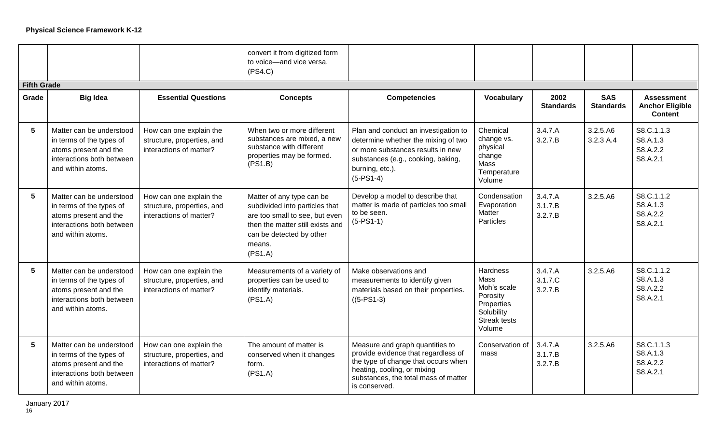|                    |                                                                                                                                 |                                                                                  | convert it from digitized form<br>to voice-and vice versa.<br>(PS4.C)                                                                                                              |                                                                                                                                                                                                       |                                                                                                          |                               |                                |                                                               |
|--------------------|---------------------------------------------------------------------------------------------------------------------------------|----------------------------------------------------------------------------------|------------------------------------------------------------------------------------------------------------------------------------------------------------------------------------|-------------------------------------------------------------------------------------------------------------------------------------------------------------------------------------------------------|----------------------------------------------------------------------------------------------------------|-------------------------------|--------------------------------|---------------------------------------------------------------|
| <b>Fifth Grade</b> |                                                                                                                                 |                                                                                  |                                                                                                                                                                                    |                                                                                                                                                                                                       |                                                                                                          |                               |                                |                                                               |
| Grade              | <b>Big Idea</b>                                                                                                                 | <b>Essential Questions</b>                                                       | <b>Concepts</b>                                                                                                                                                                    | <b>Competencies</b>                                                                                                                                                                                   | <b>Vocabulary</b>                                                                                        | 2002<br><b>Standards</b>      | <b>SAS</b><br><b>Standards</b> | <b>Assessment</b><br><b>Anchor Eligible</b><br><b>Content</b> |
| 5                  | Matter can be understood<br>in terms of the types of<br>atoms present and the<br>interactions both between<br>and within atoms. | How can one explain the<br>structure, properties, and<br>interactions of matter? | When two or more different<br>substances are mixed, a new<br>substance with different<br>properties may be formed.<br>(PS1.B)                                                      | Plan and conduct an investigation to<br>determine whether the mixing of two<br>or more substances results in new<br>substances (e.g., cooking, baking,<br>burning, etc.).<br>$(5-PS1-4)$              | Chemical<br>change vs.<br>physical<br>change<br>Mass<br>Temperature<br>Volume                            | 3.4.7.A<br>3.2.7.B            | 3.2.5.A6<br>3.2.3 A.4          | S8.C.1.1.3<br>S8.A.1.3<br>S8.A.2.2<br>S8.A.2.1                |
| 5                  | Matter can be understood<br>in terms of the types of<br>atoms present and the<br>interactions both between<br>and within atoms. | How can one explain the<br>structure, properties, and<br>interactions of matter? | Matter of any type can be<br>subdivided into particles that<br>are too small to see, but even<br>then the matter still exists and<br>can be detected by other<br>means.<br>(PS1.A) | Develop a model to describe that<br>matter is made of particles too small<br>to be seen.<br>$(5-PS1-1)$                                                                                               | Condensation<br>Evaporation<br>Matter<br>Particles                                                       | 3.4.7.A<br>3.1.7.B<br>3.2.7.B | 3.2.5.A6                       | S8.C.1.1.2<br>S8.A.1.3<br>S8.A.2.2<br>S8.A.2.1                |
| 5                  | Matter can be understood<br>in terms of the types of<br>atoms present and the<br>interactions both between<br>and within atoms. | How can one explain the<br>structure, properties, and<br>interactions of matter? | Measurements of a variety of<br>properties can be used to<br>identify materials.<br>(PS1.A)                                                                                        | Make observations and<br>measurements to identify given<br>materials based on their properties.<br>$((5-PS1-3)$                                                                                       | <b>Hardness</b><br>Mass<br>Moh's scale<br>Porosity<br>Properties<br>Solubility<br>Streak tests<br>Volume | 3.4.7.A<br>3.1.7.C<br>3.2.7.B | 3.2.5.A6                       | S8.C.1.1.2<br>S8.A.1.3<br>S8.A.2.2<br>S8.A.2.1                |
| 5                  | Matter can be understood<br>in terms of the types of<br>atoms present and the<br>interactions both between<br>and within atoms. | How can one explain the<br>structure, properties, and<br>interactions of matter? | The amount of matter is<br>conserved when it changes<br>form.<br>(PS1.A)                                                                                                           | Measure and graph quantities to<br>provide evidence that regardless of<br>the type of change that occurs when<br>heating, cooling, or mixing<br>substances, the total mass of matter<br>is conserved. | Conservation of<br>mass                                                                                  | 3.4.7.A<br>3.1.7.B<br>3.2.7.B | 3.2.5.A6                       | S8.C.1.1.3<br>S8.A.1.3<br>S8.A.2.2<br>S8.A.2.1                |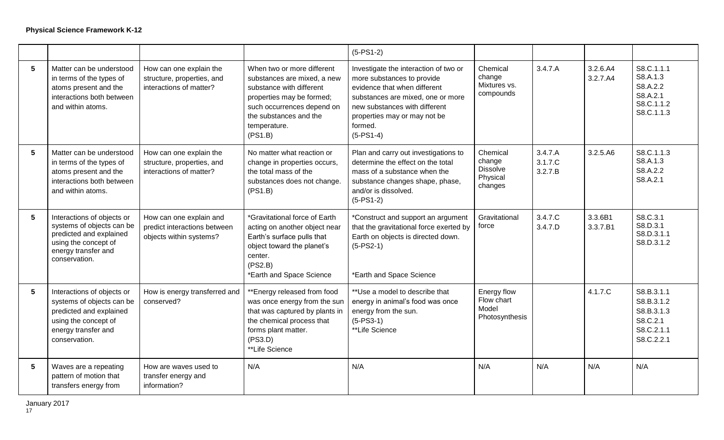|                 |                                                                                                                                                    |                                                                                    |                                                                                                                                                                                                       | $(5-PS1-2)$                                                                                                                                                                                                                         |                                                              |                               |                      |                                                                                |
|-----------------|----------------------------------------------------------------------------------------------------------------------------------------------------|------------------------------------------------------------------------------------|-------------------------------------------------------------------------------------------------------------------------------------------------------------------------------------------------------|-------------------------------------------------------------------------------------------------------------------------------------------------------------------------------------------------------------------------------------|--------------------------------------------------------------|-------------------------------|----------------------|--------------------------------------------------------------------------------|
| $5\phantom{1}$  | Matter can be understood<br>in terms of the types of<br>atoms present and the<br>interactions both between<br>and within atoms.                    | How can one explain the<br>structure, properties, and<br>interactions of matter?   | When two or more different<br>substances are mixed, a new<br>substance with different<br>properties may be formed;<br>such occurrences depend on<br>the substances and the<br>temperature.<br>(PS1.B) | Investigate the interaction of two or<br>more substances to provide<br>evidence that when different<br>substances are mixed, one or more<br>new substances with different<br>properties may or may not be<br>formed.<br>$(5-PS1-4)$ | Chemical<br>change<br>Mixtures vs.<br>compounds              | 3.4.7.A                       | 3.2.6.A4<br>3.2.7.A4 | S8.C.1.1.1<br>S8.A.1.3<br>S8.A.2.2<br>S8.A.2.1<br>S8.C.1.1.2<br>S8.C.1.1.3     |
| 5               | Matter can be understood<br>in terms of the types of<br>atoms present and the<br>interactions both between<br>and within atoms.                    | How can one explain the<br>structure, properties, and<br>interactions of matter?   | No matter what reaction or<br>change in properties occurs,<br>the total mass of the<br>substances does not change.<br>(PS1.B)                                                                         | Plan and carry out investigations to<br>determine the effect on the total<br>mass of a substance when the<br>substance changes shape, phase,<br>and/or is dissolved.<br>$(5-PS1-2)$                                                 | Chemical<br>change<br><b>Dissolve</b><br>Physical<br>changes | 3.4.7.A<br>3.1.7.C<br>3.2.7.B | 3.2.5.A6             | S8.C.1.1.3<br>S8.A.1.3<br>S8.A.2.2<br>S8.A.2.1                                 |
| $5\phantom{1}$  | Interactions of objects or<br>systems of objects can be<br>predicted and explained<br>using the concept of<br>energy transfer and<br>conservation. | How can one explain and<br>predict interactions between<br>objects within systems? | *Gravitational force of Earth<br>acting on another object near<br>Earth's surface pulls that<br>object toward the planet's<br>center.<br>(PS2.B)<br>*Earth and Space Science                          | *Construct and support an argument<br>that the gravitational force exerted by<br>Earth on objects is directed down.<br>$(5-PS2-1)$<br>*Earth and Space Science                                                                      | Gravitational<br>force                                       | 3.4.7.C<br>3.4.7.D            | 3.3.6B1<br>3.3.7.B1  | S8.C.3.1<br>S8.D.3.1<br>S8.D.3.1.1<br>S8.D.3.1.2                               |
| $5\phantom{1}$  | Interactions of objects or<br>systems of objects can be<br>predicted and explained<br>using the concept of<br>energy transfer and<br>conservation. | How is energy transferred and<br>conserved?                                        | **Energy released from food<br>was once energy from the sun<br>that was captured by plants in<br>the chemical process that<br>forms plant matter.<br>(PS3.D)<br>**Life Science                        | **Use a model to describe that<br>energy in animal's food was once<br>energy from the sun.<br>$(5-PS3-1)$<br>**Life Science                                                                                                         | Energy flow<br>Flow chart<br>Model<br>Photosynthesis         |                               | 4.1.7.C              | S8.B.3.1.1<br>S8.B.3.1.2<br>S8.B.3.1.3<br>S8.C.2.1<br>S8.C.2.1.1<br>S8.C.2.2.1 |
| $5\phantom{.0}$ | Waves are a repeating<br>pattern of motion that<br>transfers energy from                                                                           | How are waves used to<br>transfer energy and<br>information?                       | N/A                                                                                                                                                                                                   | N/A                                                                                                                                                                                                                                 | N/A                                                          | N/A                           | N/A                  | N/A                                                                            |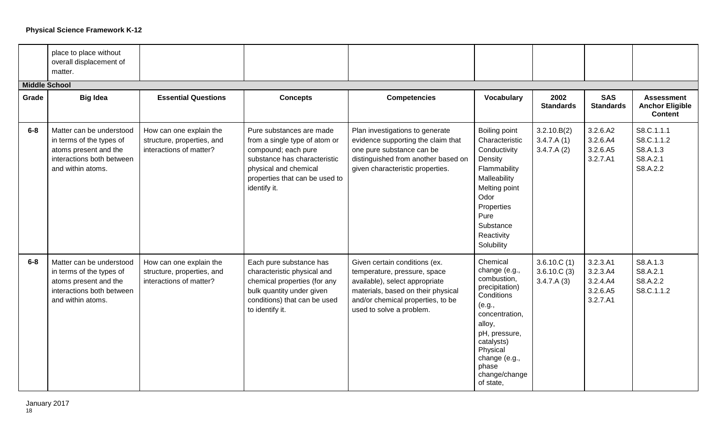|                      | place to place without<br>overall displacement of<br>matter.                                                                    |                                                                                  |                                                                                                                                                                                             |                                                                                                                                                                                                        |                                                                                                                                                                                                                   |                                          |                                                          |                                                               |
|----------------------|---------------------------------------------------------------------------------------------------------------------------------|----------------------------------------------------------------------------------|---------------------------------------------------------------------------------------------------------------------------------------------------------------------------------------------|--------------------------------------------------------------------------------------------------------------------------------------------------------------------------------------------------------|-------------------------------------------------------------------------------------------------------------------------------------------------------------------------------------------------------------------|------------------------------------------|----------------------------------------------------------|---------------------------------------------------------------|
| <b>Middle School</b> |                                                                                                                                 |                                                                                  |                                                                                                                                                                                             |                                                                                                                                                                                                        |                                                                                                                                                                                                                   |                                          |                                                          |                                                               |
| Grade                | <b>Big Idea</b>                                                                                                                 | <b>Essential Questions</b>                                                       | <b>Concepts</b>                                                                                                                                                                             | <b>Competencies</b>                                                                                                                                                                                    | <b>Vocabulary</b>                                                                                                                                                                                                 | 2002<br><b>Standards</b>                 | <b>SAS</b><br><b>Standards</b>                           | <b>Assessment</b><br><b>Anchor Eligible</b><br><b>Content</b> |
| $6-8$                | Matter can be understood<br>in terms of the types of<br>atoms present and the<br>interactions both between<br>and within atoms. | How can one explain the<br>structure, properties, and<br>interactions of matter? | Pure substances are made<br>from a single type of atom or<br>compound; each pure<br>substance has characteristic<br>physical and chemical<br>properties that can be used to<br>identify it. | Plan investigations to generate<br>evidence supporting the claim that<br>one pure substance can be<br>distinguished from another based on<br>given characteristic properties.                          | Boiling point<br>Characteristic<br>Conductivity<br>Density<br>Flammability<br>Malleability<br>Melting point<br>Odor<br>Properties<br>Pure<br>Substance<br>Reactivity<br>Solubility                                | 3.2.10.B(2)<br>3.4.7.A(1)<br>3.4.7.A(2)  | 3.2.6.A2<br>3.2.6.A4<br>3.2.6.A5<br>3.2.7.A1             | S8.C.1.1.1<br>S8.C.1.1.2<br>S8.A.1.3<br>S8.A.2.1<br>S8.A.2.2  |
| $6-8$                | Matter can be understood<br>in terms of the types of<br>atoms present and the<br>interactions both between<br>and within atoms. | How can one explain the<br>structure, properties, and<br>interactions of matter? | Each pure substance has<br>characteristic physical and<br>chemical properties (for any<br>bulk quantity under given<br>conditions) that can be used<br>to identify it.                      | Given certain conditions (ex.<br>temperature, pressure, space<br>available), select appropriate<br>materials, based on their physical<br>and/or chemical properties, to be<br>used to solve a problem. | Chemical<br>change (e.g.,<br>combustion,<br>precipitation)<br>Conditions<br>(e.g.,<br>concentration,<br>alloy,<br>pH, pressure,<br>catalysts)<br>Physical<br>change (e.g.,<br>phase<br>change/change<br>of state, | 3.6.10.C(1)<br>3.6.10.C(3)<br>3.4.7.A(3) | 3.2.3.A1<br>3.2.3.A4<br>3.2.4.A4<br>3.2.6.A5<br>3.2.7.A1 | S8.A.1.3<br>S8.A.2.1<br>S8.A.2.2<br>S8.C.1.1.2                |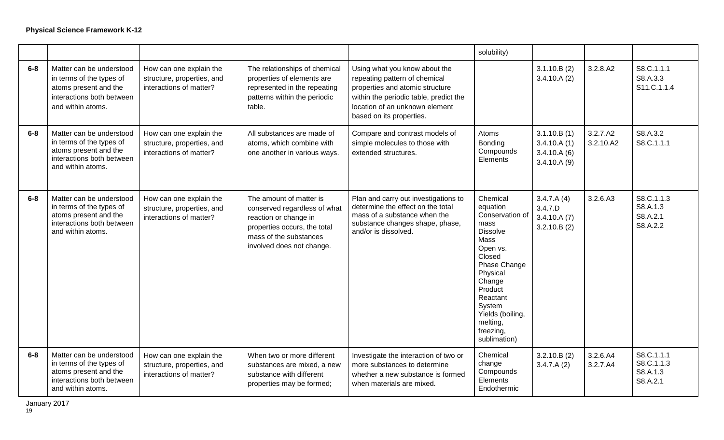|         |                                                                                                                                 |                                                                                  |                                                                                                                                                                         |                                                                                                                                                                                                           | solubility)                                                                                                                                                                                                                          |                                                          |                       |                                                  |
|---------|---------------------------------------------------------------------------------------------------------------------------------|----------------------------------------------------------------------------------|-------------------------------------------------------------------------------------------------------------------------------------------------------------------------|-----------------------------------------------------------------------------------------------------------------------------------------------------------------------------------------------------------|--------------------------------------------------------------------------------------------------------------------------------------------------------------------------------------------------------------------------------------|----------------------------------------------------------|-----------------------|--------------------------------------------------|
| $6-8$   | Matter can be understood<br>in terms of the types of<br>atoms present and the<br>interactions both between<br>and within atoms. | How can one explain the<br>structure, properties, and<br>interactions of matter? | The relationships of chemical<br>properties of elements are<br>represented in the repeating<br>patterns within the periodic<br>table.                                   | Using what you know about the<br>repeating pattern of chemical<br>properties and atomic structure<br>within the periodic table, predict the<br>location of an unknown element<br>based on its properties. |                                                                                                                                                                                                                                      | 3.1.10.B(2)<br>3.4.10.A(2)                               | 3.2.8.A2              | S8.C.1.1.1<br>S8.A.3.3<br>S11.C.1.1.4            |
| $6-8$   | Matter can be understood<br>in terms of the types of<br>atoms present and the<br>interactions both between<br>and within atoms. | How can one explain the<br>structure, properties, and<br>interactions of matter? | All substances are made of<br>atoms, which combine with<br>one another in various ways.                                                                                 | Compare and contrast models of<br>simple molecules to those with<br>extended structures.                                                                                                                  | Atoms<br>Bonding<br>Compounds<br>Elements                                                                                                                                                                                            | 3.1.10.B(1)<br>3.4.10.A(1)<br>3.4.10.A(6)<br>3.4.10.A(9) | 3.2.7.A2<br>3.2.10.A2 | S8.A.3.2<br>S8.C.1.1.1                           |
| $6-8$   | Matter can be understood<br>in terms of the types of<br>atoms present and the<br>interactions both between<br>and within atoms. | How can one explain the<br>structure, properties, and<br>interactions of matter? | The amount of matter is<br>conserved regardless of what<br>reaction or change in<br>properties occurs, the total<br>mass of the substances<br>involved does not change. | Plan and carry out investigations to<br>determine the effect on the total<br>mass of a substance when the<br>substance changes shape, phase,<br>and/or is dissolved.                                      | Chemical<br>equation<br>Conservation of<br>mass<br><b>Dissolve</b><br>Mass<br>Open vs.<br>Closed<br>Phase Change<br>Physical<br>Change<br>Product<br>Reactant<br>System<br>Yields (boiling,<br>melting,<br>freezing,<br>sublimation) | 3.4.7.A(4)<br>3.4.7.D<br>3.4.10.A(7)<br>3.2.10.B(2)      | 3.2.6.A3              | S8.C.1.1.3<br>S8.A.1.3<br>S8.A.2.1<br>S8.A.2.2   |
| $6 - 8$ | Matter can be understood<br>in terms of the types of<br>atoms present and the<br>interactions both between<br>and within atoms. | How can one explain the<br>structure, properties, and<br>interactions of matter? | When two or more different<br>substances are mixed, a new<br>substance with different<br>properties may be formed;                                                      | Investigate the interaction of two or<br>more substances to determine<br>whether a new substance is formed<br>when materials are mixed.                                                                   | Chemical<br>change<br>Compounds<br>Elements<br>Endothermic                                                                                                                                                                           | 3.2.10.B(2)<br>3.4.7.A(2)                                | 3.2.6.A4<br>3.2.7.A4  | S8.C.1.1.1<br>S8.C.1.1.3<br>S8.A.1.3<br>S8.A.2.1 |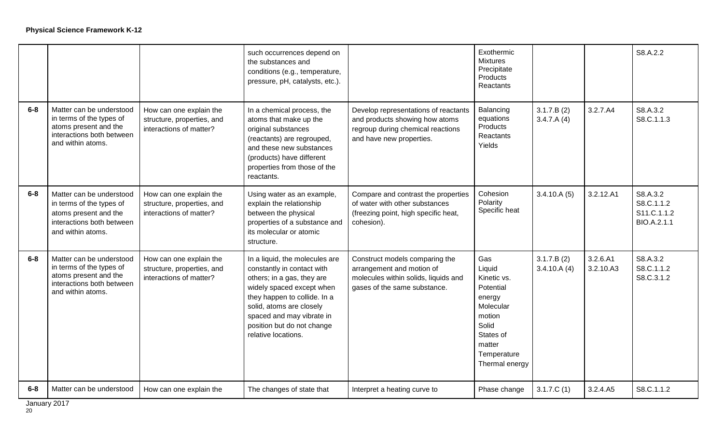|       |                                                                                                                                 |                                                                                  | such occurrences depend on<br>the substances and<br>conditions (e.g., temperature,<br>pressure, pH, catalysts, etc.).                                                                                                                                                 |                                                                                                                                         | Exothermic<br><b>Mixtures</b><br>Precipitate<br>Products<br>Reactants                                                                       |                           |                       | S8.A.2.2                                             |
|-------|---------------------------------------------------------------------------------------------------------------------------------|----------------------------------------------------------------------------------|-----------------------------------------------------------------------------------------------------------------------------------------------------------------------------------------------------------------------------------------------------------------------|-----------------------------------------------------------------------------------------------------------------------------------------|---------------------------------------------------------------------------------------------------------------------------------------------|---------------------------|-----------------------|------------------------------------------------------|
| $6-8$ | Matter can be understood<br>in terms of the types of<br>atoms present and the<br>interactions both between<br>and within atoms. | How can one explain the<br>structure, properties, and<br>interactions of matter? | In a chemical process, the<br>atoms that make up the<br>original substances<br>(reactants) are regrouped,<br>and these new substances<br>(products) have different<br>properties from those of the<br>reactants.                                                      | Develop representations of reactants<br>and products showing how atoms<br>regroup during chemical reactions<br>and have new properties. | Balancing<br>equations<br>Products<br>Reactants<br>Yields                                                                                   | 3.1.7.B(2)<br>3.4.7.A(4)  | 3.2.7.A4              | S8.A.3.2<br>S8.C.1.1.3                               |
| $6-8$ | Matter can be understood<br>in terms of the types of<br>atoms present and the<br>interactions both between<br>and within atoms. | How can one explain the<br>structure, properties, and<br>interactions of matter? | Using water as an example,<br>explain the relationship<br>between the physical<br>properties of a substance and<br>its molecular or atomic<br>structure.                                                                                                              | Compare and contrast the properties<br>of water with other substances<br>(freezing point, high specific heat,<br>cohesion).             | Cohesion<br>Polarity<br>Specific heat                                                                                                       | 3.4.10.A(5)               | 3.2.12.A1             | S8.A.3.2<br>S8.C.1.1.2<br>S11.C.1.1.2<br>BIO.A.2.1.1 |
| $6-8$ | Matter can be understood<br>in terms of the types of<br>atoms present and the<br>interactions both between<br>and within atoms. | How can one explain the<br>structure, properties, and<br>interactions of matter? | In a liquid, the molecules are<br>constantly in contact with<br>others; in a gas, they are<br>widely spaced except when<br>they happen to collide. In a<br>solid, atoms are closely<br>spaced and may vibrate in<br>position but do not change<br>relative locations. | Construct models comparing the<br>arrangement and motion of<br>molecules within solids, liquids and<br>gases of the same substance.     | Gas<br>Liquid<br>Kinetic vs.<br>Potential<br>energy<br>Molecular<br>motion<br>Solid<br>States of<br>matter<br>Temperature<br>Thermal energy | 3.1.7.B(2)<br>3.4.10.A(4) | 3.2.6.A1<br>3.2.10.A3 | S8.A.3.2<br>S8.C.1.1.2<br>S8.C.3.1.2                 |
| $6-8$ | Matter can be understood                                                                                                        | How can one explain the                                                          | The changes of state that                                                                                                                                                                                                                                             | Interpret a heating curve to                                                                                                            | Phase change                                                                                                                                | 3.1.7.C(1)                | 3.2.4.A5              | S8.C.1.1.2                                           |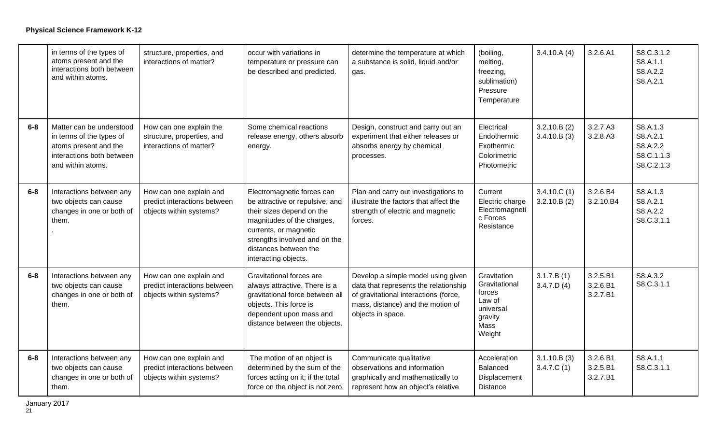|         | in terms of the types of<br>atoms present and the<br>interactions both between<br>and within atoms.                             | structure, properties, and<br>interactions of matter?                              | occur with variations in<br>temperature or pressure can<br>be described and predicted.                                                                                                                                              | determine the temperature at which<br>a substance is solid, liquid and/or<br>gas.                                                                                              | (boiling,<br>melting,<br>freezing,<br>sublimation)<br>Pressure<br>Temperature              | 3.4.10.A(4)                | 3.2.6.A1                         | S8.C.3.1.2<br>S8.A.1.1<br>S8.A.2.2<br>S8.A.2.1               |
|---------|---------------------------------------------------------------------------------------------------------------------------------|------------------------------------------------------------------------------------|-------------------------------------------------------------------------------------------------------------------------------------------------------------------------------------------------------------------------------------|--------------------------------------------------------------------------------------------------------------------------------------------------------------------------------|--------------------------------------------------------------------------------------------|----------------------------|----------------------------------|--------------------------------------------------------------|
| $6 - 8$ | Matter can be understood<br>in terms of the types of<br>atoms present and the<br>interactions both between<br>and within atoms. | How can one explain the<br>structure, properties, and<br>interactions of matter?   | Some chemical reactions<br>release energy, others absorb<br>energy.                                                                                                                                                                 | Design, construct and carry out an<br>experiment that either releases or<br>absorbs energy by chemical<br>processes.                                                           | Electrical<br>Endothermic<br>Exothermic<br>Colorimetric<br>Photometric                     | 3.2.10.B(2)<br>3.4.10.B(3) | 3.2.7.A3<br>3.2.8.A3             | S8.A.1.3<br>S8.A.2.1<br>S8.A.2.2<br>S8.C.1.1.3<br>S8.C.2.1.3 |
| $6-8$   | Interactions between any<br>two objects can cause<br>changes in one or both of<br>them.                                         | How can one explain and<br>predict interactions between<br>objects within systems? | Electromagnetic forces can<br>be attractive or repulsive, and<br>their sizes depend on the<br>magnitudes of the charges,<br>currents, or magnetic<br>strengths involved and on the<br>distances between the<br>interacting objects. | Plan and carry out investigations to<br>illustrate the factors that affect the<br>strength of electric and magnetic<br>forces.                                                 | Current<br>Electric charge<br>Electromagneti<br>c Forces<br>Resistance                     | 3.4.10.C(1)<br>3.2.10.B(2) | 3.2.6.B4<br>3.2.10.B4            | S8.A.1.3<br>S8.A.2.1<br>S8.A.2.2<br>S8.C.3.1.1               |
| $6-8$   | Interactions between any<br>two objects can cause<br>changes in one or both of<br>them.                                         | How can one explain and<br>predict interactions between<br>objects within systems? | Gravitational forces are<br>always attractive. There is a<br>gravitational force between all<br>objects. This force is<br>dependent upon mass and<br>distance between the objects.                                                  | Develop a simple model using given<br>data that represents the relationship<br>of gravitational interactions (force,<br>mass, distance) and the motion of<br>objects in space. | Gravitation<br>Gravitational<br>forces<br>Law of<br>universal<br>gravity<br>Mass<br>Weight | 3.1.7.B(1)<br>3.4.7.D(4)   | 3.2.5.B1<br>3.2.6.B1<br>3.2.7.B1 | S8.A.3.2<br>S8.C.3.1.1                                       |
| $6 - 8$ | Interactions between any<br>two objects can cause<br>changes in one or both of<br>them.                                         | How can one explain and<br>predict interactions between<br>objects within systems? | The motion of an object is<br>determined by the sum of the<br>forces acting on it; if the total<br>force on the object is not zero,                                                                                                 | Communicate qualitative<br>observations and information<br>graphically and mathematically to<br>represent how an object's relative                                             | Acceleration<br>Balanced<br>Displacement<br><b>Distance</b>                                | 3.1.10.B(3)<br>3.4.7.C(1)  | 3.2.6.B1<br>3.2.5.B1<br>3.2.7.B1 | S8.A.1.1<br>S8.C.3.1.1                                       |

January 2017 January 2017<br><sup>21</sup>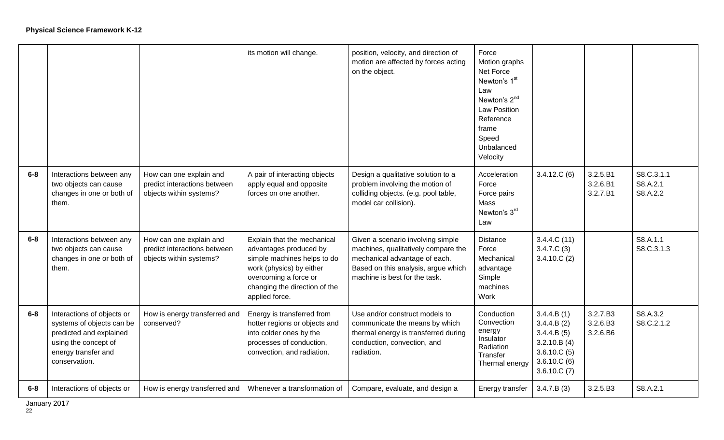|         |                                                                                                                                                    |                                                                                    | its motion will change.                                                                                                                                                                      | position, velocity, and direction of<br>motion are affected by forces acting<br>on the object.                                                                                    | Force<br>Motion graphs<br>Net Force<br>Newton's 1 <sup>st</sup><br>Law<br>Newton's 2 <sup>nd</sup><br><b>Law Position</b><br>Reference<br>frame<br>Speed<br>Unbalanced<br>Velocity |                                                                                                     |                                  |                                    |
|---------|----------------------------------------------------------------------------------------------------------------------------------------------------|------------------------------------------------------------------------------------|----------------------------------------------------------------------------------------------------------------------------------------------------------------------------------------------|-----------------------------------------------------------------------------------------------------------------------------------------------------------------------------------|------------------------------------------------------------------------------------------------------------------------------------------------------------------------------------|-----------------------------------------------------------------------------------------------------|----------------------------------|------------------------------------|
| $6 - 8$ | Interactions between any<br>two objects can cause<br>changes in one or both of<br>them.                                                            | How can one explain and<br>predict interactions between<br>objects within systems? | A pair of interacting objects<br>apply equal and opposite<br>forces on one another.                                                                                                          | Design a qualitative solution to a<br>problem involving the motion of<br>colliding objects. (e.g. pool table,<br>model car collision).                                            | Acceleration<br>Force<br>Force pairs<br>Mass<br>Newton's 3rd<br>Law                                                                                                                | 3.4.12.C(6)                                                                                         | 3.2.5.B1<br>3.2.6.B1<br>3.2.7.B1 | S8.C.3.1.1<br>S8.A.2.1<br>S8.A.2.2 |
| $6-8$   | Interactions between any<br>two objects can cause<br>changes in one or both of<br>them.                                                            | How can one explain and<br>predict interactions between<br>objects within systems? | Explain that the mechanical<br>advantages produced by<br>simple machines helps to do<br>work (physics) by either<br>overcoming a force or<br>changing the direction of the<br>applied force. | Given a scenario involving simple<br>machines, qualitatively compare the<br>mechanical advantage of each.<br>Based on this analysis, argue which<br>machine is best for the task. | <b>Distance</b><br>Force<br>Mechanical<br>advantage<br>Simple<br>machines<br>Work                                                                                                  | 3.4.4.C(11)<br>3.4.7.C(3)<br>3.4.10.C(2)                                                            |                                  | S8.A.1.1<br>S8.C.3.1.3             |
| $6-8$   | Interactions of objects or<br>systems of objects can be<br>predicted and explained<br>using the concept of<br>energy transfer and<br>conservation. | How is energy transferred and<br>conserved?                                        | Energy is transferred from<br>hotter regions or objects and<br>into colder ones by the<br>processes of conduction,<br>convection, and radiation.                                             | Use and/or construct models to<br>communicate the means by which<br>thermal energy is transferred during<br>conduction, convection, and<br>radiation.                             | Conduction<br>Convection<br>energy<br>Insulator<br>Radiation<br>Transfer<br>Thermal energy                                                                                         | 3.4.4.B(1)<br>3.4.4.B(2)<br>3.4.4.B(5)<br>3.2.10.B(4)<br>3.6.10.C(5)<br>3.6.10.C(6)<br>3.6.10.C (7) | 3.2.7.B3<br>3.2.6.B3<br>3.2.6.B6 | S8.A.3.2<br>S8.C.2.1.2             |
| $6-8$   | Interactions of objects or                                                                                                                         | How is energy transferred and                                                      | Whenever a transformation of                                                                                                                                                                 | Compare, evaluate, and design a                                                                                                                                                   | Energy transfer                                                                                                                                                                    | 3.4.7.B(3)                                                                                          | 3.2.5.B3                         | S8.A.2.1                           |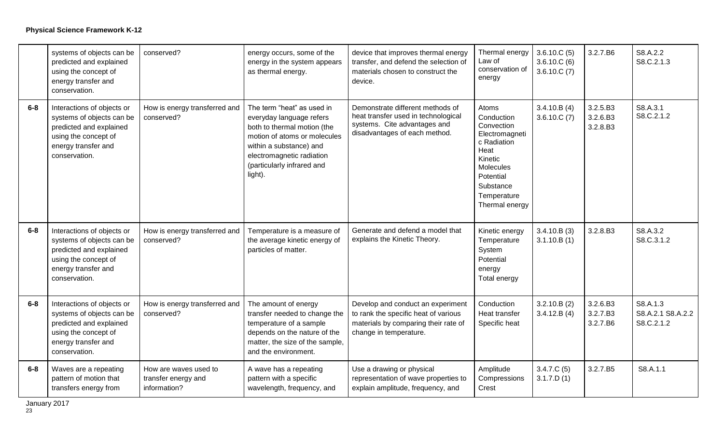|         | systems of objects can be<br>predicted and explained<br>using the concept of<br>energy transfer and<br>conservation.                               | conserved?                                                   | energy occurs, some of the<br>energy in the system appears<br>as thermal energy.                                                                                                                                       | device that improves thermal energy<br>transfer, and defend the selection of<br>materials chosen to construct the<br>device.                | Thermal energy<br>Law of<br>conservation of<br>energy                                                                                                         | 3.6.10.C(5)<br>3.6.10.C(6)<br>3.6.10.C(7) | 3.2.7.B6                         | S8.A.2.2<br>S8.C.2.1.3                      |
|---------|----------------------------------------------------------------------------------------------------------------------------------------------------|--------------------------------------------------------------|------------------------------------------------------------------------------------------------------------------------------------------------------------------------------------------------------------------------|---------------------------------------------------------------------------------------------------------------------------------------------|---------------------------------------------------------------------------------------------------------------------------------------------------------------|-------------------------------------------|----------------------------------|---------------------------------------------|
| $6 - 8$ | Interactions of objects or<br>systems of objects can be<br>predicted and explained<br>using the concept of<br>energy transfer and<br>conservation. | How is energy transferred and<br>conserved?                  | The term "heat" as used in<br>everyday language refers<br>both to thermal motion (the<br>motion of atoms or molecules<br>within a substance) and<br>electromagnetic radiation<br>(particularly infrared and<br>light). | Demonstrate different methods of<br>heat transfer used in technological<br>systems. Cite advantages and<br>disadvantages of each method.    | Atoms<br>Conduction<br>Convection<br>Electromagneti<br>c Radiation<br>Heat<br>Kinetic<br>Molecules<br>Potential<br>Substance<br>Temperature<br>Thermal energy | 3.4.10.B(4)<br>3.6.10.C (7)               | 3.2.5.B3<br>3.2.6.B3<br>3.2.8.B3 | S8.A.3.1<br>S8.C.2.1.2                      |
| $6-8$   | Interactions of objects or<br>systems of objects can be<br>predicted and explained<br>using the concept of<br>energy transfer and<br>conservation. | How is energy transferred and<br>conserved?                  | Temperature is a measure of<br>the average kinetic energy of<br>particles of matter.                                                                                                                                   | Generate and defend a model that<br>explains the Kinetic Theory.                                                                            | Kinetic energy<br>Temperature<br>System<br>Potential<br>energy<br>Total energy                                                                                | 3.4.10.B(3)<br>3.1.10.B(1)                | 3.2.8.B3                         | S8.A.3.2<br>S8.C.3.1.2                      |
| $6-8$   | Interactions of objects or<br>systems of objects can be<br>predicted and explained<br>using the concept of<br>energy transfer and<br>conservation. | How is energy transferred and<br>conserved?                  | The amount of energy<br>transfer needed to change the<br>temperature of a sample<br>depends on the nature of the<br>matter, the size of the sample,<br>and the environment.                                            | Develop and conduct an experiment<br>to rank the specific heat of various<br>materials by comparing their rate of<br>change in temperature. | Conduction<br>Heat transfer<br>Specific heat                                                                                                                  | 3.2.10.B(2)<br>3.4.12.B(4)                | 3.2.6.B3<br>3.2.7.B3<br>3.2.7.B6 | S8.A.1.3<br>S8.A.2.1 S8.A.2.2<br>S8.C.2.1.2 |
| $6 - 8$ | Waves are a repeating<br>pattern of motion that<br>transfers energy from                                                                           | How are waves used to<br>transfer energy and<br>information? | A wave has a repeating<br>pattern with a specific<br>wavelength, frequency, and                                                                                                                                        | Use a drawing or physical<br>representation of wave properties to<br>explain amplitude, frequency, and                                      | Amplitude<br>Compressions<br>Crest                                                                                                                            | 3.4.7.C(5)<br>3.1.7.D(1)                  | 3.2.7.B5                         | S8.A.1.1                                    |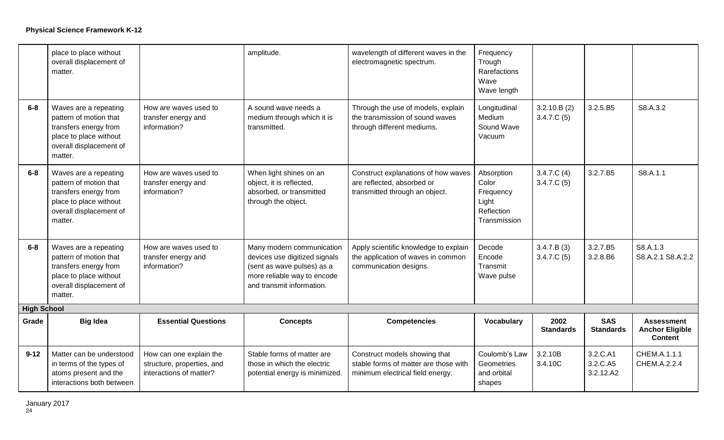|                    | place to place without<br>overall displacement of<br>matter.                                                                             |                                                                                  | amplitude.                                                                                                                                           | wavelength of different waves in the<br>electromagnetic spectrum.                                          | Frequency<br>Trough<br>Rarefactions<br>Wave<br>Wave length              |                           |                                   |                                                               |
|--------------------|------------------------------------------------------------------------------------------------------------------------------------------|----------------------------------------------------------------------------------|------------------------------------------------------------------------------------------------------------------------------------------------------|------------------------------------------------------------------------------------------------------------|-------------------------------------------------------------------------|---------------------------|-----------------------------------|---------------------------------------------------------------|
| $6-8$              | Waves are a repeating<br>pattern of motion that<br>transfers energy from<br>place to place without<br>overall displacement of<br>matter. | How are waves used to<br>transfer energy and<br>information?                     | A sound wave needs a<br>medium through which it is<br>transmitted.                                                                                   | Through the use of models, explain<br>the transmission of sound waves<br>through different mediums.        | Longitudinal<br>Medium<br>Sound Wave<br>Vacuum                          | 3.2.10.B(2)<br>3.4.7.C(5) | 3.2.5.B5                          | S8.A.3.2                                                      |
| $6-8$              | Waves are a repeating<br>pattern of motion that<br>transfers energy from<br>place to place without<br>overall displacement of<br>matter. | How are waves used to<br>transfer energy and<br>information?                     | When light shines on an<br>object, it is reflected,<br>absorbed, or transmitted<br>through the object.                                               | Construct explanations of how waves<br>are reflected, absorbed or<br>transmitted through an object.        | Absorption<br>Color<br>Frequency<br>Light<br>Reflection<br>Transmission | 3.4.7.C(4)<br>3.4.7.C(5)  | 3.2.7.B5                          | S8.A.1.1                                                      |
| $6-8$              | Waves are a repeating<br>pattern of motion that<br>transfers energy from<br>place to place without<br>overall displacement of<br>matter. | How are waves used to<br>transfer energy and<br>information?                     | Many modern communication<br>devices use digitized signals<br>(sent as wave pulses) as a<br>more reliable way to encode<br>and transmit information. | Apply scientific knowledge to explain<br>the application of waves in common<br>communication designs.      | Decode<br>Encode<br>Transmit<br>Wave pulse                              | 3.4.7.B(3)<br>3.4.7.C(5)  | 3.2.7.B5<br>3.2.8.B6              | S8.A.1.3<br>S8.A.2.1 S8.A.2.2                                 |
| <b>High School</b> |                                                                                                                                          |                                                                                  |                                                                                                                                                      |                                                                                                            |                                                                         |                           |                                   |                                                               |
| Grade              | <b>Big Idea</b>                                                                                                                          | <b>Essential Questions</b>                                                       | <b>Concepts</b>                                                                                                                                      | <b>Competencies</b>                                                                                        | Vocabulary                                                              | 2002<br><b>Standards</b>  | <b>SAS</b><br><b>Standards</b>    | <b>Assessment</b><br><b>Anchor Eligible</b><br><b>Content</b> |
| $9 - 12$           | Matter can be understood<br>in terms of the types of<br>atoms present and the<br>interactions both between                               | How can one explain the<br>structure, properties, and<br>interactions of matter? | Stable forms of matter are<br>those in which the electric<br>potential energy is minimized.                                                          | Construct models showing that<br>stable forms of matter are those with<br>minimum electrical field energy. | Coulomb's Law<br>Geometries<br>and orbital<br>shapes                    | 3.2.10B<br>3.4.10C        | 3.2.C.A1<br>3.2.C.A5<br>3.2.12.A2 | CHEM.A.1.1.1<br>CHEM.A.2.2.4                                  |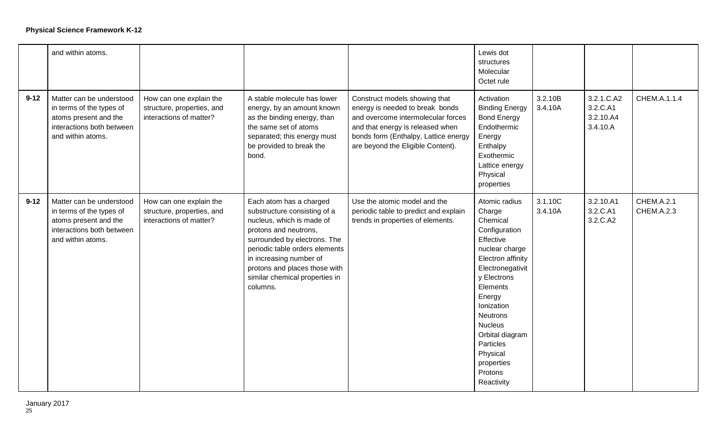|          | and within atoms.                                                                                                               |                                                                                  |                                                                                                                                                                                                                                                                                           |                                                                                                                                                                                                                         | Lewis dot<br>structures<br>Molecular<br>Octet rule                                                                                                                                                                                                                                               |                    |                                                 |                                        |
|----------|---------------------------------------------------------------------------------------------------------------------------------|----------------------------------------------------------------------------------|-------------------------------------------------------------------------------------------------------------------------------------------------------------------------------------------------------------------------------------------------------------------------------------------|-------------------------------------------------------------------------------------------------------------------------------------------------------------------------------------------------------------------------|--------------------------------------------------------------------------------------------------------------------------------------------------------------------------------------------------------------------------------------------------------------------------------------------------|--------------------|-------------------------------------------------|----------------------------------------|
| $9 - 12$ | Matter can be understood<br>in terms of the types of<br>atoms present and the<br>interactions both between<br>and within atoms. | How can one explain the<br>structure, properties, and<br>interactions of matter? | A stable molecule has lower<br>energy, by an amount known<br>as the binding energy, than<br>the same set of atoms<br>separated; this energy must<br>be provided to break the<br>bond.                                                                                                     | Construct models showing that<br>energy is needed to break bonds<br>and overcome intermolecular forces<br>and that energy is released when<br>bonds form (Enthalpy, Lattice energy<br>are beyond the Eligible Content). | Activation<br><b>Binding Energy</b><br><b>Bond Energy</b><br>Endothermic<br>Energy<br>Enthalpy<br>Exothermic<br>Lattice energy<br>Physical<br>properties                                                                                                                                         | 3.2.10B<br>3.4.10A | 3.2.1.C.A2<br>3.2.C.A1<br>3.2.10.A4<br>3.4.10.A | CHEM.A.1.1.4                           |
| $9 - 12$ | Matter can be understood<br>in terms of the types of<br>atoms present and the<br>interactions both between<br>and within atoms. | How can one explain the<br>structure, properties, and<br>interactions of matter? | Each atom has a charged<br>substructure consisting of a<br>nucleus, which is made of<br>protons and neutrons,<br>surrounded by electrons. The<br>periodic table orders elements<br>in increasing number of<br>protons and places those with<br>similar chemical properties in<br>columns. | Use the atomic model and the<br>periodic table to predict and explain<br>trends in properties of elements.                                                                                                              | Atomic radius<br>Charge<br>Chemical<br>Configuration<br>Effective<br>nuclear charge<br>Electron affinity<br>Electronegativit<br>y Electrons<br>Elements<br>Energy<br>Ionization<br>Neutrons<br><b>Nucleus</b><br>Orbital diagram<br>Particles<br>Physical<br>properties<br>Protons<br>Reactivity | 3.1.10C<br>3.4.10A | 3.2.10.A1<br>3.2.C.A1<br>3.2.C.A2               | <b>CHEM.A.2.1</b><br><b>CHEM.A.2.3</b> |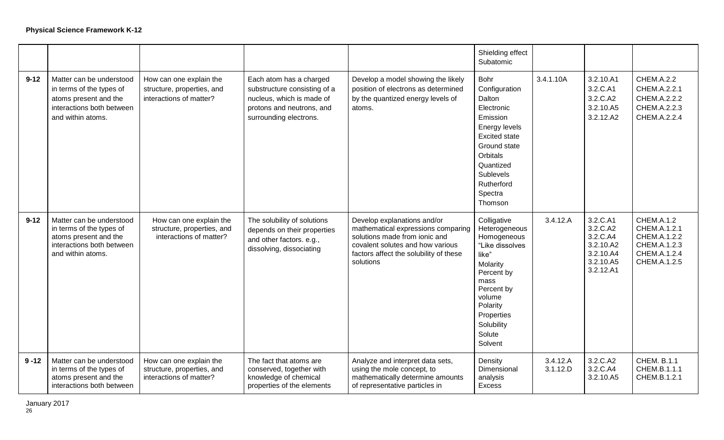|          |                                                                                                                                 |                                                                                  |                                                                                                                                             |                                                                                                                                                                                               | Shielding effect<br>Subatomic                                                                                                                                                                       |                      |                                                                                      |                                                                                                   |
|----------|---------------------------------------------------------------------------------------------------------------------------------|----------------------------------------------------------------------------------|---------------------------------------------------------------------------------------------------------------------------------------------|-----------------------------------------------------------------------------------------------------------------------------------------------------------------------------------------------|-----------------------------------------------------------------------------------------------------------------------------------------------------------------------------------------------------|----------------------|--------------------------------------------------------------------------------------|---------------------------------------------------------------------------------------------------|
| $9 - 12$ | Matter can be understood<br>in terms of the types of<br>atoms present and the<br>interactions both between<br>and within atoms. | How can one explain the<br>structure, properties, and<br>interactions of matter? | Each atom has a charged<br>substructure consisting of a<br>nucleus, which is made of<br>protons and neutrons, and<br>surrounding electrons. | Develop a model showing the likely<br>position of electrons as determined<br>by the quantized energy levels of<br>atoms.                                                                      | <b>Bohr</b><br>Configuration<br>Dalton<br>Electronic<br>Emission<br>Energy levels<br><b>Excited state</b><br>Ground state<br>Orbitals<br>Quantized<br>Sublevels<br>Rutherford<br>Spectra<br>Thomson | 3.4.1.10A            | 3.2.10.A1<br>3.2.C.A1<br>3.2.C.A2<br>3.2.10.A5<br>3.2.12.A2                          | CHEM.A.2.2<br>CHEM.A.2.2.1<br>CHEM.A.2.2.2<br>CHEM.A.2.2.3<br>CHEM.A.2.2.4                        |
| $9 - 12$ | Matter can be understood<br>in terms of the types of<br>atoms present and the<br>interactions both between<br>and within atoms. | How can one explain the<br>structure, properties, and<br>interactions of matter? | The solubility of solutions<br>depends on their properties<br>and other factors. e.g.,<br>dissolving, dissociating                          | Develop explanations and/or<br>mathematical expressions comparing<br>solutions made from ionic and<br>covalent solutes and how various<br>factors affect the solubility of these<br>solutions | Colligative<br>Heterogeneous<br>Homogeneous<br>"Like dissolves<br>like"<br>Molarity<br>Percent by<br>mass<br>Percent by<br>volume<br>Polarity<br>Properties<br>Solubility<br>Solute<br>Solvent      | 3.4.12.A             | 3.2.C.A1<br>3.2.C.A2<br>3.2.C.A4<br>3.2.10.A2<br>3.2.10.A4<br>3.2.10.A5<br>3.2.12.A1 | <b>CHEM.A.1.2</b><br>CHEM.A.1.2.1<br>CHEM.A.1.2.2<br>CHEM.A.1.2.3<br>CHEM.A.1.2.4<br>CHEM.A.1.2.5 |
| $9 - 12$ | Matter can be understood<br>in terms of the types of<br>atoms present and the<br>interactions both between                      | How can one explain the<br>structure, properties, and<br>interactions of matter? | The fact that atoms are<br>conserved, together with<br>knowledge of chemical<br>properties of the elements                                  | Analyze and interpret data sets,<br>using the mole concept, to<br>mathematically determine amounts<br>of representative particles in                                                          | Density<br>Dimensional<br>analysis<br><b>Excess</b>                                                                                                                                                 | 3.4.12.A<br>3.1.12.D | 3.2.C.A2<br>3.2.C.A4<br>3.2.10.A5                                                    | <b>CHEM, B.1.1</b><br>CHEM.B.1.1.1<br>CHEM.B.1.2.1                                                |

January 2017 January 2017<br><sup>26</sup>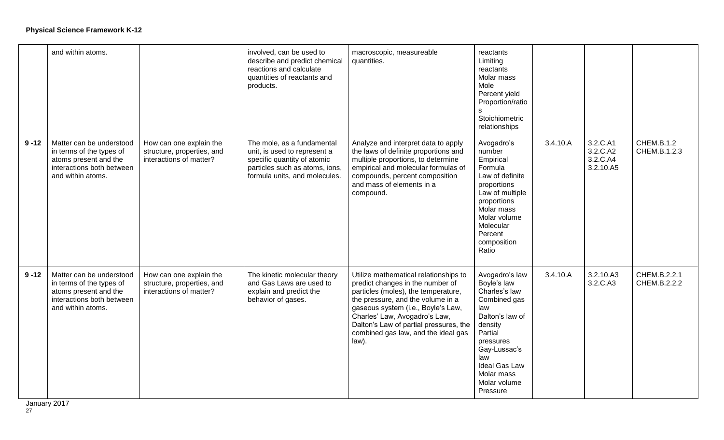|          | and within atoms.                                                                                                               |                                                                                  | involved, can be used to<br>describe and predict chemical<br>reactions and calculate<br>quantities of reactants and<br>products.                             | macroscopic, measureable<br>quantities.                                                                                                                                                                                                                                                                                | reactants<br>Limiting<br>reactants<br>Molar mass<br>Mole<br>Percent yield<br>Proportion/ratio<br>s.<br>Stoichiometric<br>relationships                                                                        |          |                                               |                              |
|----------|---------------------------------------------------------------------------------------------------------------------------------|----------------------------------------------------------------------------------|--------------------------------------------------------------------------------------------------------------------------------------------------------------|------------------------------------------------------------------------------------------------------------------------------------------------------------------------------------------------------------------------------------------------------------------------------------------------------------------------|---------------------------------------------------------------------------------------------------------------------------------------------------------------------------------------------------------------|----------|-----------------------------------------------|------------------------------|
| $9 - 12$ | Matter can be understood<br>in terms of the types of<br>atoms present and the<br>interactions both between<br>and within atoms. | How can one explain the<br>structure, properties, and<br>interactions of matter? | The mole, as a fundamental<br>unit, is used to represent a<br>specific quantity of atomic<br>particles such as atoms, ions,<br>formula units, and molecules. | Analyze and interpret data to apply<br>the laws of definite proportions and<br>multiple proportions, to determine<br>empirical and molecular formulas of<br>compounds, percent composition<br>and mass of elements in a<br>compound.                                                                                   | Avogadro's<br>number<br>Empirical<br>Formula<br>Law of definite<br>proportions<br>Law of multiple<br>proportions<br>Molar mass<br>Molar volume<br>Molecular<br>Percent<br>composition<br>Ratio                | 3.4.10.A | 3.2.C.A1<br>3.2.C.A2<br>3.2.C.A4<br>3.2.10.A5 | CHEM.B.1.2<br>CHEM.B.1.2.3   |
| $9 - 12$ | Matter can be understood<br>in terms of the types of<br>atoms present and the<br>interactions both between<br>and within atoms. | How can one explain the<br>structure, properties, and<br>interactions of matter? | The kinetic molecular theory<br>and Gas Laws are used to<br>explain and predict the<br>behavior of gases.                                                    | Utilize mathematical relationships to<br>predict changes in the number of<br>particles (moles), the temperature,<br>the pressure, and the volume in a<br>gaseous system (i.e., Boyle's Law,<br>Charles' Law, Avogadro's Law,<br>Dalton's Law of partial pressures, the<br>combined gas law, and the ideal gas<br>law). | Avogadro's law<br>Boyle's law<br>Charles's law<br>Combined gas<br>law<br>Dalton's law of<br>density<br>Partial<br>pressures<br>Gay-Lussac's<br>law<br>Ideal Gas Law<br>Molar mass<br>Molar volume<br>Pressure | 3.4.10.A | 3.2.10.A3<br>3.2.C.A3                         | CHEM.B.2.2.1<br>CHEM.B.2.2.2 |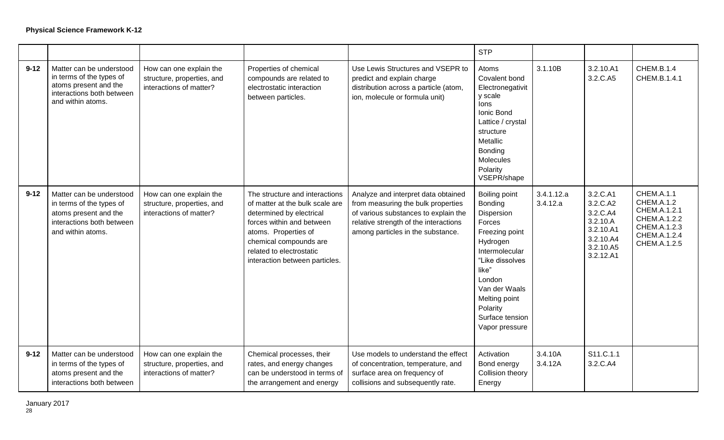|          |                                                                                                                                 |                                                                                  |                                                                                                                                                                                                                                            |                                                                                                                                                                                                 | <b>STP</b>                                                                                                                                                                                                                |                        |                                                                                                  |                                                                                                                        |
|----------|---------------------------------------------------------------------------------------------------------------------------------|----------------------------------------------------------------------------------|--------------------------------------------------------------------------------------------------------------------------------------------------------------------------------------------------------------------------------------------|-------------------------------------------------------------------------------------------------------------------------------------------------------------------------------------------------|---------------------------------------------------------------------------------------------------------------------------------------------------------------------------------------------------------------------------|------------------------|--------------------------------------------------------------------------------------------------|------------------------------------------------------------------------------------------------------------------------|
| $9 - 12$ | Matter can be understood<br>in terms of the types of<br>atoms present and the<br>interactions both between<br>and within atoms. | How can one explain the<br>structure, properties, and<br>interactions of matter? | Properties of chemical<br>compounds are related to<br>electrostatic interaction<br>between particles.                                                                                                                                      | Use Lewis Structures and VSEPR to<br>predict and explain charge<br>distribution across a particle (atom,<br>ion, molecule or formula unit)                                                      | Atoms<br>Covalent bond<br>Electronegativit<br>y scale<br>lons<br>Ionic Bond<br>Lattice / crystal<br>structure<br>Metallic<br>Bonding<br>Molecules<br>Polarity<br>VSEPR/shape                                              | 3.1.10B                | 3.2.10.A1<br>3.2.C.A5                                                                            | CHEM.B.1.4<br>CHEM.B.1.4.1                                                                                             |
| $9 - 12$ | Matter can be understood<br>in terms of the types of<br>atoms present and the<br>interactions both between<br>and within atoms. | How can one explain the<br>structure, properties, and<br>interactions of matter? | The structure and interactions<br>of matter at the bulk scale are<br>determined by electrical<br>forces within and between<br>atoms. Properties of<br>chemical compounds are<br>related to electrostatic<br>interaction between particles. | Analyze and interpret data obtained<br>from measuring the bulk properties<br>of various substances to explain the<br>relative strength of the interactions<br>among particles in the substance. | Boiling point<br>Bonding<br>Dispersion<br>Forces<br>Freezing point<br>Hydrogen<br>Intermolecular<br>"Like dissolves<br>like"<br>London<br>Van der Waals<br>Melting point<br>Polarity<br>Surface tension<br>Vapor pressure | 3.4.1.12.a<br>3.4.12.a | 3.2.C.A1<br>3.2.C.A2<br>3.2.C.A4<br>3.2.10.A<br>3.2.10.A1<br>3.2.10.A4<br>3.2.10.A5<br>3.2.12.A1 | <b>CHEM.A.1.1</b><br><b>CHEM.A.1.2</b><br>CHEM.A.1.2.1<br>CHEM.A.1.2.2<br>CHEM.A.1.2.3<br>CHEM.A.1.2.4<br>CHEM.A.1.2.5 |
| $9 - 12$ | Matter can be understood<br>in terms of the types of<br>atoms present and the<br>interactions both between                      | How can one explain the<br>structure, properties, and<br>interactions of matter? | Chemical processes, their<br>rates, and energy changes<br>can be understood in terms of<br>the arrangement and energy                                                                                                                      | Use models to understand the effect<br>of concentration, temperature, and<br>surface area on frequency of<br>collisions and subsequently rate.                                                  | Activation<br>Bond energy<br>Collision theory<br>Energy                                                                                                                                                                   | 3.4.10A<br>3.4.12A     | S11.C.1.1<br>3.2.C.A4                                                                            |                                                                                                                        |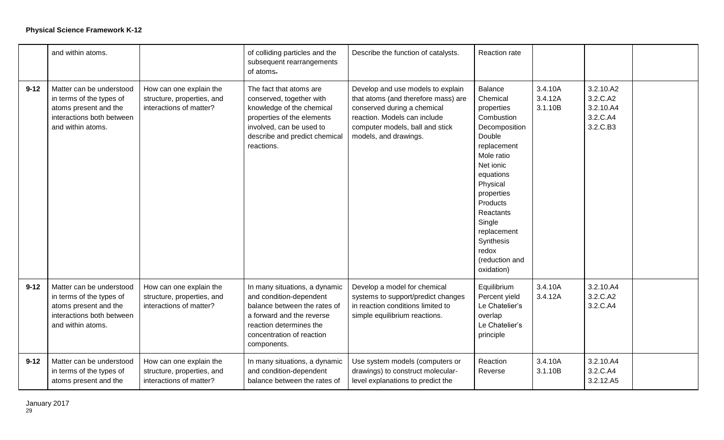|          | and within atoms.                                                                                                               |                                                                                  | of colliding particles and the<br>subsequent rearrangements<br>of atoms.                                                                                                                     | Describe the function of catalysts.                                                                                                                                                                 | Reaction rate                                                                                                                                                                                                                                                              |                               |                                                            |  |
|----------|---------------------------------------------------------------------------------------------------------------------------------|----------------------------------------------------------------------------------|----------------------------------------------------------------------------------------------------------------------------------------------------------------------------------------------|-----------------------------------------------------------------------------------------------------------------------------------------------------------------------------------------------------|----------------------------------------------------------------------------------------------------------------------------------------------------------------------------------------------------------------------------------------------------------------------------|-------------------------------|------------------------------------------------------------|--|
| $9 - 12$ | Matter can be understood<br>in terms of the types of<br>atoms present and the<br>interactions both between<br>and within atoms. | How can one explain the<br>structure, properties, and<br>interactions of matter? | The fact that atoms are<br>conserved, together with<br>knowledge of the chemical<br>properties of the elements<br>involved, can be used to<br>describe and predict chemical<br>reactions.    | Develop and use models to explain<br>that atoms (and therefore mass) are<br>conserved during a chemical<br>reaction. Models can include<br>computer models, ball and stick<br>models, and drawings. | <b>Balance</b><br>Chemical<br>properties<br>Combustion<br>Decomposition<br>Double<br>replacement<br>Mole ratio<br>Net ionic<br>equations<br>Physical<br>properties<br>Products<br>Reactants<br>Single<br>replacement<br>Synthesis<br>redox<br>(reduction and<br>oxidation) | 3.4.10A<br>3.4.12A<br>3.1.10B | 3.2.10.A2<br>3.2.C.A2<br>3.2.10.A4<br>3.2.C.A4<br>3.2.C.B3 |  |
| $9 - 12$ | Matter can be understood<br>in terms of the types of<br>atoms present and the<br>interactions both between<br>and within atoms. | How can one explain the<br>structure, properties, and<br>interactions of matter? | In many situations, a dynamic<br>and condition-dependent<br>balance between the rates of<br>a forward and the reverse<br>reaction determines the<br>concentration of reaction<br>components. | Develop a model for chemical<br>systems to support/predict changes<br>in reaction conditions limited to<br>simple equilibrium reactions.                                                            | Equilibrium<br>Percent yield<br>Le Chatelier's<br>overlap<br>Le Chatelier's<br>principle                                                                                                                                                                                   | 3.4.10A<br>3.4.12A            | 3.2.10.A4<br>3.2.C.A2<br>3.2.C.A4                          |  |
| $9 - 12$ | Matter can be understood<br>in terms of the types of<br>atoms present and the                                                   | How can one explain the<br>structure, properties, and<br>interactions of matter? | In many situations, a dynamic<br>and condition-dependent<br>balance between the rates of                                                                                                     | Use system models (computers or<br>drawings) to construct molecular-<br>level explanations to predict the                                                                                           | Reaction<br>Reverse                                                                                                                                                                                                                                                        | 3.4.10A<br>3.1.10B            | 3.2.10.A4<br>3.2.C.A4<br>3.2.12.A5                         |  |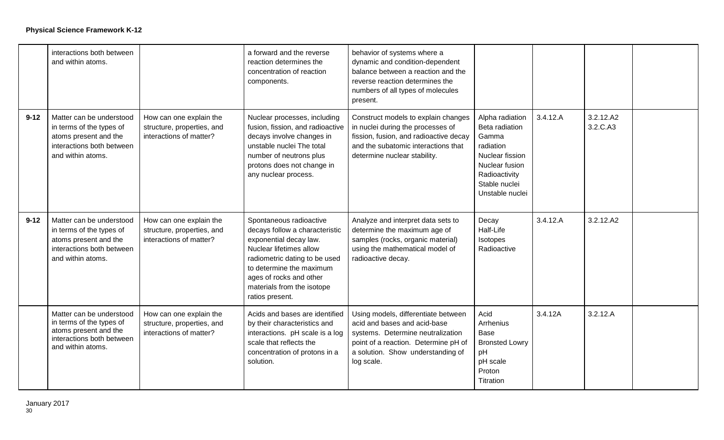|          | interactions both between<br>and within atoms.                                                                                  |                                                                                  | a forward and the reverse<br>reaction determines the<br>concentration of reaction<br>components.                                                                                                                                                        | behavior of systems where a<br>dynamic and condition-dependent<br>balance between a reaction and the<br>reverse reaction determines the<br>numbers of all types of molecules<br>present.            |                                                                                                                                                   |          |                       |  |
|----------|---------------------------------------------------------------------------------------------------------------------------------|----------------------------------------------------------------------------------|---------------------------------------------------------------------------------------------------------------------------------------------------------------------------------------------------------------------------------------------------------|-----------------------------------------------------------------------------------------------------------------------------------------------------------------------------------------------------|---------------------------------------------------------------------------------------------------------------------------------------------------|----------|-----------------------|--|
| $9 - 12$ | Matter can be understood<br>in terms of the types of<br>atoms present and the<br>interactions both between<br>and within atoms. | How can one explain the<br>structure, properties, and<br>interactions of matter? | Nuclear processes, including<br>fusion, fission, and radioactive<br>decays involve changes in<br>unstable nuclei The total<br>number of neutrons plus<br>protons does not change in<br>any nuclear process.                                             | Construct models to explain changes<br>in nuclei during the processes of<br>fission, fusion, and radioactive decay<br>and the subatomic interactions that<br>determine nuclear stability.           | Alpha radiation<br>Beta radiation<br>Gamma<br>radiation<br>Nuclear fission<br>Nuclear fusion<br>Radioactivity<br>Stable nuclei<br>Unstable nuclei | 3.4.12.A | 3.2.12.A2<br>3.2.C.A3 |  |
| $9 - 12$ | Matter can be understood<br>in terms of the types of<br>atoms present and the<br>interactions both between<br>and within atoms. | How can one explain the<br>structure, properties, and<br>interactions of matter? | Spontaneous radioactive<br>decays follow a characteristic<br>exponential decay law.<br>Nuclear lifetimes allow<br>radiometric dating to be used<br>to determine the maximum<br>ages of rocks and other<br>materials from the isotope<br>ratios present. | Analyze and interpret data sets to<br>determine the maximum age of<br>samples (rocks, organic material)<br>using the mathematical model of<br>radioactive decay.                                    | Decay<br>Half-Life<br>Isotopes<br>Radioactive                                                                                                     | 3.4.12.A | 3.2.12.A2             |  |
|          | Matter can be understood<br>in terms of the types of<br>atoms present and the<br>interactions both between<br>and within atoms. | How can one explain the<br>structure, properties, and<br>interactions of matter? | Acids and bases are identified<br>by their characteristics and<br>interactions. pH scale is a log<br>scale that reflects the<br>concentration of protons in a<br>solution.                                                                              | Using models, differentiate between<br>acid and bases and acid-base<br>systems. Determine neutralization<br>point of a reaction. Determine pH of<br>a solution. Show understanding of<br>log scale. | Acid<br><b>Arrhenius</b><br>Base<br><b>Bronsted Lowry</b><br>pH<br>pH scale<br>Proton<br>Titration                                                | 3.4.12A  | 3.2.12.A              |  |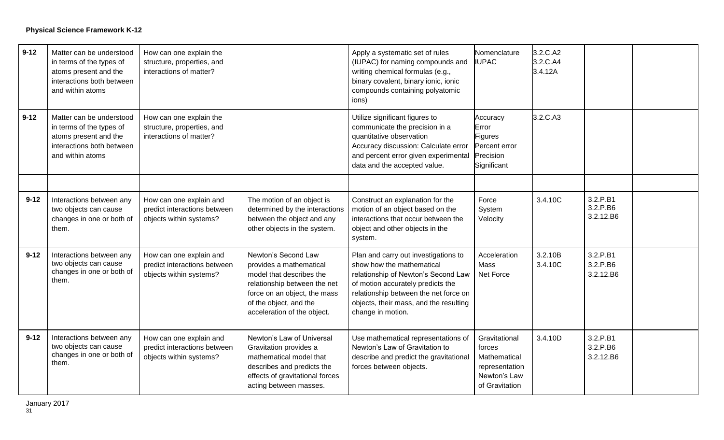| $9 - 12$ | Matter can be understood<br>in terms of the types of<br>atoms present and the<br>interactions both between<br>and within atoms | How can one explain the<br>structure, properties, and<br>interactions of matter?   |                                                                                                                                                                                                     | Apply a systematic set of rules<br>(IUPAC) for naming compounds and<br>writing chemical formulas (e.g.,<br>binary covalent, binary ionic, ionic<br>compounds containing polyatomic<br>ions)                                                           | Nomenclature<br><b>IUPAC</b>                                                                | 3.2.C.A2<br>3.2.C.A4<br>3.4.12A |                                   |  |
|----------|--------------------------------------------------------------------------------------------------------------------------------|------------------------------------------------------------------------------------|-----------------------------------------------------------------------------------------------------------------------------------------------------------------------------------------------------|-------------------------------------------------------------------------------------------------------------------------------------------------------------------------------------------------------------------------------------------------------|---------------------------------------------------------------------------------------------|---------------------------------|-----------------------------------|--|
| $9 - 12$ | Matter can be understood<br>in terms of the types of<br>atoms present and the<br>interactions both between<br>and within atoms | How can one explain the<br>structure, properties, and<br>interactions of matter?   |                                                                                                                                                                                                     | Utilize significant figures to<br>communicate the precision in a<br>quantitative observation<br>Accuracy discussion: Calculate error<br>and percent error given experimental<br>data and the accepted value.                                          | Accuracy<br>Error<br>Figures<br>Percent error<br>Precision<br>Significant                   | 3.2.C.A3                        |                                   |  |
|          |                                                                                                                                |                                                                                    |                                                                                                                                                                                                     |                                                                                                                                                                                                                                                       |                                                                                             |                                 |                                   |  |
| $9 - 12$ | Interactions between any<br>two objects can cause<br>changes in one or both of<br>them.                                        | How can one explain and<br>predict interactions between<br>objects within systems? | The motion of an object is<br>determined by the interactions<br>between the object and any<br>other objects in the system.                                                                          | Construct an explanation for the<br>motion of an object based on the<br>interactions that occur between the<br>object and other objects in the<br>system.                                                                                             | Force<br>System<br>Velocity                                                                 | 3.4.10C                         | 3.2.P.B1<br>3.2.P.B6<br>3.2.12.B6 |  |
| $9 - 12$ | Interactions between any<br>two objects can cause<br>changes in one or both of<br>them.                                        | How can one explain and<br>predict interactions between<br>objects within systems? | Newton's Second Law<br>provides a mathematical<br>model that describes the<br>relationship between the net<br>force on an object, the mass<br>of the object, and the<br>acceleration of the object. | Plan and carry out investigations to<br>show how the mathematical<br>relationship of Newton's Second Law<br>of motion accurately predicts the<br>relationship between the net force on<br>objects, their mass, and the resulting<br>change in motion. | Acceleration<br>Mass<br>Net Force                                                           | 3.2.10B<br>3.4.10C              | 3.2.P.B1<br>3.2.P.B6<br>3.2.12.B6 |  |
| $9 - 12$ | Interactions between any<br>two objects can cause<br>changes in one or both of<br>them.                                        | How can one explain and<br>predict interactions between<br>objects within systems? | Newton's Law of Universal<br>Gravitation provides a<br>mathematical model that<br>describes and predicts the<br>effects of gravitational forces<br>acting between masses.                           | Use mathematical representations of<br>Newton's Law of Gravitation to<br>describe and predict the gravitational<br>forces between objects.                                                                                                            | Gravitational<br>forces<br>Mathematical<br>representation<br>Newton's Law<br>of Gravitation | 3.4.10D                         | 3.2.P.B1<br>3.2.P.B6<br>3.2.12.B6 |  |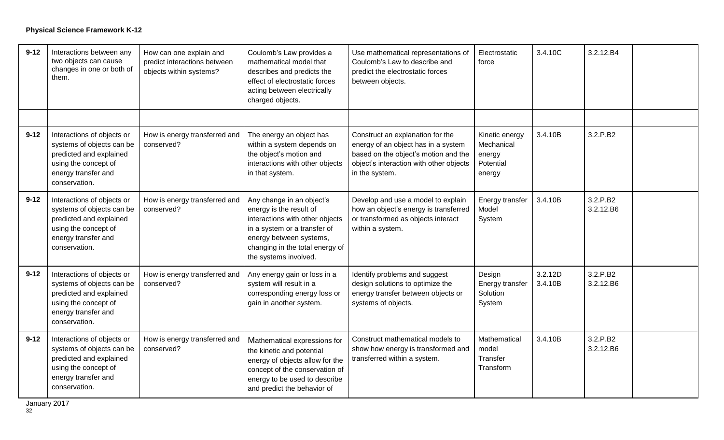| $9 - 12$ | Interactions between any<br>two objects can cause<br>changes in one or both of<br>them.                                                            | How can one explain and<br>predict interactions between<br>objects within systems? | Coulomb's Law provides a<br>mathematical model that<br>describes and predicts the<br>effect of electrostatic forces<br>acting between electrically<br>charged objects.                                         | Use mathematical representations of<br>Coulomb's Law to describe and<br>predict the electrostatic forces<br>between objects.                                                 | Electrostatic<br>force                                        | 3.4.10C            | 3.2.12.B4             |  |
|----------|----------------------------------------------------------------------------------------------------------------------------------------------------|------------------------------------------------------------------------------------|----------------------------------------------------------------------------------------------------------------------------------------------------------------------------------------------------------------|------------------------------------------------------------------------------------------------------------------------------------------------------------------------------|---------------------------------------------------------------|--------------------|-----------------------|--|
|          |                                                                                                                                                    |                                                                                    |                                                                                                                                                                                                                |                                                                                                                                                                              |                                                               |                    |                       |  |
| $9 - 12$ | Interactions of objects or<br>systems of objects can be<br>predicted and explained<br>using the concept of<br>energy transfer and<br>conservation. | How is energy transferred and<br>conserved?                                        | The energy an object has<br>within a system depends on<br>the object's motion and<br>interactions with other objects<br>in that system.                                                                        | Construct an explanation for the<br>energy of an object has in a system<br>based on the object's motion and the<br>object's interaction with other objects<br>in the system. | Kinetic energy<br>Mechanical<br>energy<br>Potential<br>energy | 3.4.10B            | 3.2.P.B2              |  |
| $9 - 12$ | Interactions of objects or<br>systems of objects can be<br>predicted and explained<br>using the concept of<br>energy transfer and<br>conservation. | How is energy transferred and<br>conserved?                                        | Any change in an object's<br>energy is the result of<br>interactions with other objects<br>in a system or a transfer of<br>energy between systems,<br>changing in the total energy of<br>the systems involved. | Develop and use a model to explain<br>how an object's energy is transferred<br>or transformed as objects interact<br>within a system.                                        | Energy transfer<br>Model<br>System                            | 3.4.10B            | 3.2.P.B2<br>3.2.12.B6 |  |
| $9 - 12$ | Interactions of objects or<br>systems of objects can be<br>predicted and explained<br>using the concept of<br>energy transfer and<br>conservation. | How is energy transferred and<br>conserved?                                        | Any energy gain or loss in a<br>system will result in a<br>corresponding energy loss or<br>gain in another system.                                                                                             | Identify problems and suggest<br>design solutions to optimize the<br>energy transfer between objects or<br>systems of objects.                                               | Design<br>Energy transfer<br>Solution<br>System               | 3.2.12D<br>3.4.10B | 3.2.P.B2<br>3.2.12.B6 |  |
| $9 - 12$ | Interactions of objects or<br>systems of objects can be<br>predicted and explained<br>using the concept of<br>energy transfer and<br>conservation. | How is energy transferred and<br>conserved?                                        | Mathematical expressions for<br>the kinetic and potential<br>energy of objects allow for the<br>concept of the conservation of<br>energy to be used to describe<br>and predict the behavior of                 | Construct mathematical models to<br>show how energy is transformed and<br>transferred within a system.                                                                       | Mathematical<br>model<br>Transfer<br>Transform                | 3.4.10B            | 3.2.P.B2<br>3.2.12.B6 |  |

January 2017 January 2017<br>32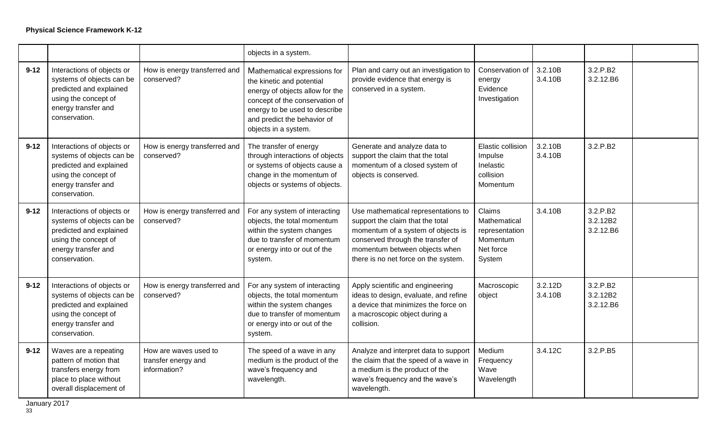|          |                                                                                                                                                    |                                                              | objects in a system.                                                                                                                                                                                                   |                                                                                                                                                                                                                             |                                                                             |                    |                                   |  |
|----------|----------------------------------------------------------------------------------------------------------------------------------------------------|--------------------------------------------------------------|------------------------------------------------------------------------------------------------------------------------------------------------------------------------------------------------------------------------|-----------------------------------------------------------------------------------------------------------------------------------------------------------------------------------------------------------------------------|-----------------------------------------------------------------------------|--------------------|-----------------------------------|--|
| $9 - 12$ | Interactions of objects or<br>systems of objects can be<br>predicted and explained<br>using the concept of<br>energy transfer and<br>conservation. | How is energy transferred and<br>conserved?                  | Mathematical expressions for<br>the kinetic and potential<br>energy of objects allow for the<br>concept of the conservation of<br>energy to be used to describe<br>and predict the behavior of<br>objects in a system. | Plan and carry out an investigation to<br>provide evidence that energy is<br>conserved in a system.                                                                                                                         | Conservation of<br>energy<br>Evidence<br>Investigation                      | 3.2.10B<br>3.4.10B | 3.2.P.B2<br>3.2.12.B6             |  |
| $9 - 12$ | Interactions of objects or<br>systems of objects can be<br>predicted and explained<br>using the concept of<br>energy transfer and<br>conservation. | How is energy transferred and<br>conserved?                  | The transfer of energy<br>through interactions of objects<br>or systems of objects cause a<br>change in the momentum of<br>objects or systems of objects.                                                              | Generate and analyze data to<br>support the claim that the total<br>momentum of a closed system of<br>objects is conserved.                                                                                                 | Elastic collision<br>Impulse<br>Inelastic<br>collision<br>Momentum          | 3.2.10B<br>3.4.10B | 3.2.P.B2                          |  |
| $9 - 12$ | Interactions of objects or<br>systems of objects can be<br>predicted and explained<br>using the concept of<br>energy transfer and<br>conservation. | How is energy transferred and<br>conserved?                  | For any system of interacting<br>objects, the total momentum<br>within the system changes<br>due to transfer of momentum<br>or energy into or out of the<br>system.                                                    | Use mathematical representations to<br>support the claim that the total<br>momentum of a system of objects is<br>conserved through the transfer of<br>momentum between objects when<br>there is no net force on the system. | Claims<br>Mathematical<br>representation<br>Momentum<br>Net force<br>System | 3.4.10B            | 3.2.P.B2<br>3.2.12B2<br>3.2.12.B6 |  |
| $9 - 12$ | Interactions of objects or<br>systems of objects can be<br>predicted and explained<br>using the concept of<br>energy transfer and<br>conservation. | How is energy transferred and<br>conserved?                  | For any system of interacting<br>objects, the total momentum<br>within the system changes<br>due to transfer of momentum<br>or energy into or out of the<br>system.                                                    | Apply scientific and engineering<br>ideas to design, evaluate, and refine<br>a device that minimizes the force on<br>a macroscopic object during a<br>collision.                                                            | Macroscopic<br>object                                                       | 3.2.12D<br>3.4.10B | 3.2.P.B2<br>3.2.12B2<br>3.2.12.B6 |  |
| $9 - 12$ | Waves are a repeating<br>pattern of motion that<br>transfers energy from<br>place to place without<br>overall displacement of                      | How are waves used to<br>transfer energy and<br>information? | The speed of a wave in any<br>medium is the product of the<br>wave's frequency and<br>wavelength.                                                                                                                      | Analyze and interpret data to support<br>the claim that the speed of a wave in<br>a medium is the product of the<br>wave's frequency and the wave's<br>wavelength.                                                          | Medium<br>Frequency<br>Wave<br>Wavelength                                   | 3.4.12C            | 3.2.P.B5                          |  |

January 2017 January 2017<br>33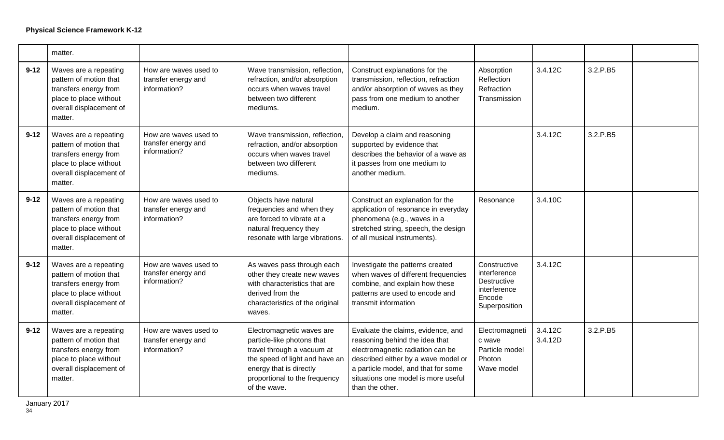|          | matter.                                                                                                                                  |                                                              |                                                                                                                                                                                                     |                                                                                                                                                                                                                                                  |                                                                                        |                    |          |  |
|----------|------------------------------------------------------------------------------------------------------------------------------------------|--------------------------------------------------------------|-----------------------------------------------------------------------------------------------------------------------------------------------------------------------------------------------------|--------------------------------------------------------------------------------------------------------------------------------------------------------------------------------------------------------------------------------------------------|----------------------------------------------------------------------------------------|--------------------|----------|--|
| $9 - 12$ | Waves are a repeating<br>pattern of motion that<br>transfers energy from<br>place to place without<br>overall displacement of<br>matter. | How are waves used to<br>transfer energy and<br>information? | Wave transmission, reflection,<br>refraction, and/or absorption<br>occurs when waves travel<br>between two different<br>mediums.                                                                    | Construct explanations for the<br>transmission, reflection, refraction<br>and/or absorption of waves as they<br>pass from one medium to another<br>medium.                                                                                       | Absorption<br>Reflection<br>Refraction<br>Transmission                                 | 3.4.12C            | 3.2.P.B5 |  |
| $9 - 12$ | Waves are a repeating<br>pattern of motion that<br>transfers energy from<br>place to place without<br>overall displacement of<br>matter. | How are waves used to<br>transfer energy and<br>information? | Wave transmission, reflection,<br>refraction, and/or absorption<br>occurs when waves travel<br>between two different<br>mediums.                                                                    | Develop a claim and reasoning<br>supported by evidence that<br>describes the behavior of a wave as<br>it passes from one medium to<br>another medium.                                                                                            |                                                                                        | 3.4.12C            | 3.2.P.B5 |  |
| $9 - 12$ | Waves are a repeating<br>pattern of motion that<br>transfers energy from<br>place to place without<br>overall displacement of<br>matter. | How are waves used to<br>transfer energy and<br>information? | Objects have natural<br>frequencies and when they<br>are forced to vibrate at a<br>natural frequency they<br>resonate with large vibrations.                                                        | Construct an explanation for the<br>application of resonance in everyday<br>phenomena (e.g., waves in a<br>stretched string, speech, the design<br>of all musical instruments).                                                                  | Resonance                                                                              | 3.4.10C            |          |  |
| $9 - 12$ | Waves are a repeating<br>pattern of motion that<br>transfers energy from<br>place to place without<br>overall displacement of<br>matter. | How are waves used to<br>transfer energy and<br>information? | As waves pass through each<br>other they create new waves<br>with characteristics that are<br>derived from the<br>characteristics of the original<br>waves.                                         | Investigate the patterns created<br>when waves of different frequencies<br>combine, and explain how these<br>patterns are used to encode and<br>transmit information                                                                             | Constructive<br>interference<br>Destructive<br>interference<br>Encode<br>Superposition | 3.4.12C            |          |  |
| $9 - 12$ | Waves are a repeating<br>pattern of motion that<br>transfers energy from<br>place to place without<br>overall displacement of<br>matter. | How are waves used to<br>transfer energy and<br>information? | Electromagnetic waves are<br>particle-like photons that<br>travel through a vacuum at<br>the speed of light and have an<br>energy that is directly<br>proportional to the frequency<br>of the wave. | Evaluate the claims, evidence, and<br>reasoning behind the idea that<br>electromagnetic radiation can be<br>described either by a wave model or<br>a particle model, and that for some<br>situations one model is more useful<br>than the other. | Electromagneti<br>c wave<br>Particle model<br>Photon<br>Wave model                     | 3.4.12C<br>3.4.12D | 3.2.P.B5 |  |